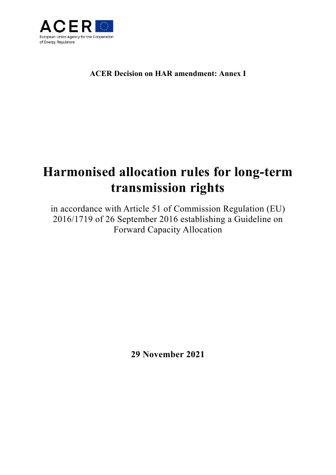

# **ACER Decision on HAR amendment: Annex I**

# **Harmonised allocation rules for long-term transmission rights**

in accordance with Article 51 of Commission Regulation (EU) 2016/1719 of 26 September 2016 establishing a Guideline on Forward Capacity Allocation

**29 November 2021**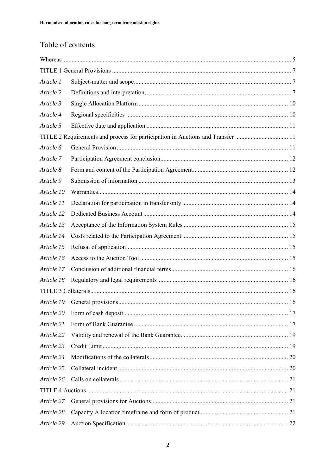# Table of contents

| Article 1                                                                       |  |  |  |
|---------------------------------------------------------------------------------|--|--|--|
| Article 2                                                                       |  |  |  |
| Article 3                                                                       |  |  |  |
| Article 4                                                                       |  |  |  |
| Article 5                                                                       |  |  |  |
| TITLE 2 Requirements and process for participation in Auctions and Transfer  11 |  |  |  |
| Article 6                                                                       |  |  |  |
| Article 7                                                                       |  |  |  |
| Article 8                                                                       |  |  |  |
| Article 9                                                                       |  |  |  |
| Article 10                                                                      |  |  |  |
| Article 11                                                                      |  |  |  |
| Article 12                                                                      |  |  |  |
| Article 13                                                                      |  |  |  |
| Article 14                                                                      |  |  |  |
| Article 15                                                                      |  |  |  |
| Article 16                                                                      |  |  |  |
| Article 17                                                                      |  |  |  |
| Article 18                                                                      |  |  |  |
|                                                                                 |  |  |  |
| Article 19                                                                      |  |  |  |
| Article 20                                                                      |  |  |  |
| Article 21                                                                      |  |  |  |
| Article 22                                                                      |  |  |  |
| Article 23                                                                      |  |  |  |
| Article 24                                                                      |  |  |  |
| Article 25                                                                      |  |  |  |
| Article 26                                                                      |  |  |  |
|                                                                                 |  |  |  |
| Article 27                                                                      |  |  |  |
| Article 28                                                                      |  |  |  |
| Article 29                                                                      |  |  |  |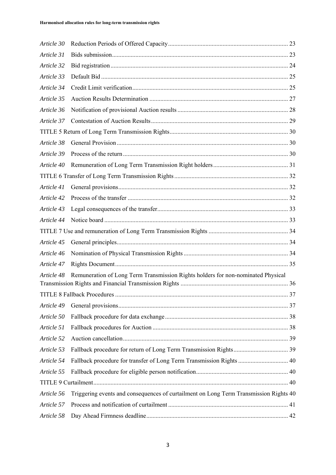| Article 30 |                                                                                       |  |
|------------|---------------------------------------------------------------------------------------|--|
| Article 31 |                                                                                       |  |
| Article 32 |                                                                                       |  |
| Article 33 |                                                                                       |  |
| Article 34 |                                                                                       |  |
| Article 35 |                                                                                       |  |
| Article 36 |                                                                                       |  |
| Article 37 |                                                                                       |  |
|            |                                                                                       |  |
| Article 38 |                                                                                       |  |
| Article 39 |                                                                                       |  |
| Article 40 |                                                                                       |  |
|            |                                                                                       |  |
| Article 41 |                                                                                       |  |
| Article 42 |                                                                                       |  |
| Article 43 |                                                                                       |  |
| Article 44 |                                                                                       |  |
|            |                                                                                       |  |
| Article 45 |                                                                                       |  |
| Article 46 |                                                                                       |  |
| Article 47 |                                                                                       |  |
| Article 48 | Remuneration of Long Term Transmission Rights holders for non-nominated Physical      |  |
|            |                                                                                       |  |
| Article 49 |                                                                                       |  |
| Article 50 |                                                                                       |  |
| Article 51 |                                                                                       |  |
| Article 52 |                                                                                       |  |
| Article 53 |                                                                                       |  |
| Article 54 | Fallback procedure for transfer of Long Term Transmission Rights  40                  |  |
| Article 55 |                                                                                       |  |
|            |                                                                                       |  |
| Article 56 | Triggering events and consequences of curtailment on Long Term Transmission Rights 40 |  |
| Article 57 |                                                                                       |  |
| Article 58 |                                                                                       |  |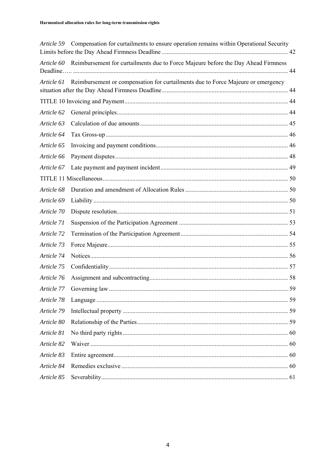| Article 59 | Compensation for curtailments to ensure operation remains within Operational Security        |  |
|------------|----------------------------------------------------------------------------------------------|--|
|            | Article 60 Reimbursement for curtailments due to Force Majeure before the Day Ahead Firmness |  |
| Article 61 | Reimbursement or compensation for curtailments due to Force Majeure or emergency             |  |
|            |                                                                                              |  |
| Article 62 |                                                                                              |  |
| Article 63 |                                                                                              |  |
| Article 64 |                                                                                              |  |
| Article 65 |                                                                                              |  |
| Article 66 |                                                                                              |  |
| Article 67 |                                                                                              |  |
|            |                                                                                              |  |
| Article 68 |                                                                                              |  |
| Article 69 |                                                                                              |  |
| Article 70 |                                                                                              |  |
| Article 71 |                                                                                              |  |
| Article 72 |                                                                                              |  |
| Article 73 |                                                                                              |  |
| Article 74 |                                                                                              |  |
| Article 75 |                                                                                              |  |
| Article 76 |                                                                                              |  |
| Article 77 |                                                                                              |  |
| Article 78 |                                                                                              |  |
| Article 79 |                                                                                              |  |
| Article 80 |                                                                                              |  |
| Article 81 |                                                                                              |  |
| Article 82 |                                                                                              |  |
| Article 83 |                                                                                              |  |
| Article 84 |                                                                                              |  |
| Article 85 |                                                                                              |  |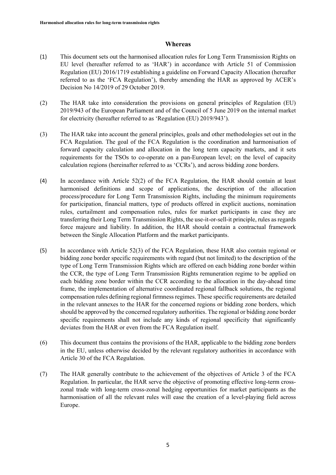#### **Whereas**

- (1) This document sets out the harmonised allocation rules for Long Term Transmission Rights on EU level (hereafter referred to as 'HAR') in accordance with Article 51 of Commission Regulation (EU) 2016/1719 establishing a guideline on Forward Capacity Allocation (hereafter referred to as the 'FCA Regulation'), thereby amending the HAR as approved by ACER's Decision No 14/2019 of 29 October 2019.
- (2) The HAR take into consideration the provisions on general principles of Regulation (EU) 2019/943 of the European Parliament and of the Council of 5 June 2019 on the internal market for electricity (hereafter referred to as 'Regulation (EU) 2019/943').
- (3) The HAR take into account the general principles, goals and other methodologies set out in the FCA Regulation. The goal of the FCA Regulation is the coordination and harmonisation of forward capacity calculation and allocation in the long term capacity markets, and it sets requirements for the TSOs to co-operate on a pan-European level; on the level of capacity calculation regions (hereinafter referred to as 'CCRs'), and across bidding zone borders.
- (4) In accordance with Article 52(2) of the FCA Regulation, the HAR should contain at least harmonised definitions and scope of applications, the description of the allocation process/procedure for Long Term Transmission Rights, including the minimum requirements for participation, financial matters, type of products offered in explicit auctions, nomination rules, curtailment and compensation rules, rules for market participants in case they are transferring their Long Term Transmission Rights, the use-it-or-sell-it principle, rules as regards force majeure and liability. In addition, the HAR should contain a contractual framework between the Single Allocation Platform and the market participants.
- (5) In accordance with Article 52(3) of the FCA Regulation, these HAR also contain regional or bidding zone border specific requirements with regard (but not limited) to the description of the type of Long Term Transmission Rights which are offered on each bidding zone border within the CCR, the type of Long Term Transmission Rights remuneration regime to be applied on each bidding zone border within the CCR according to the allocation in the day-ahead time frame, the implementation of alternative coordinated regional fallback solutions, the regional compensation rules defining regional firmness regimes. These specific requirements are detailed in the relevant annexes to the HAR for the concerned regions or bidding zone borders, which should be approved by the concerned regulatory authorities. The regional or bidding zone border specific requirements shall not include any kinds of regional specificity that significantly deviates from the HAR or even from the FCA Regulation itself.
- (6) This document thus contains the provisions of the HAR, applicable to the bidding zone borders in the EU, unless otherwise decided by the relevant regulatory authorities in accordance with Article 30 of the FCA Regulation.
- (7) The HAR generally contribute to the achievement of the objectives of Article 3 of the FCA Regulation. In particular, the HAR serve the objective of promoting effective long-term crosszonal trade with long‐term cross‐zonal hedging opportunities for market participants as the harmonisation of all the relevant rules will ease the creation of a level-playing field across Europe.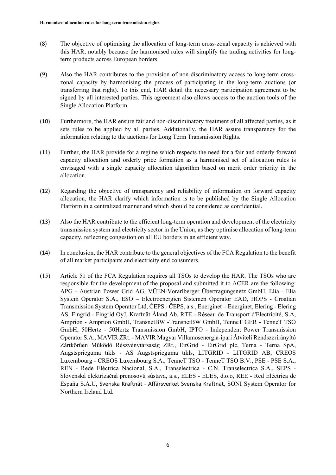- (8) The objective of optimising the allocation of long-term cross-zonal capacity is achieved with this HAR, notably because the harmonised rules will simplify the trading activities for longterm products across European borders.
- (9) Also the HAR contributes to the provision of non-discriminatory access to long-term crosszonal capacity by harmonising the process of participating in the long-term auctions (or transferring that right). To this end, HAR detail the necessary participation agreement to be signed by all interested parties. This agreement also allows access to the auction tools of the Single Allocation Platform.
- (10) Furthermore, the HAR ensure fair and non-discriminatory treatment of all affected parties, as it sets rules to be applied by all parties. Additionally, the HAR assure transparency for the information relating to the auctions for Long Term Transmission Rights.
- (11) Further, the HAR provide for a regime which respects the need for a fair and orderly forward capacity allocation and orderly price formation as a harmonised set of allocation rules is envisaged with a single capacity allocation algorithm based on merit order priority in the allocation.
- (12) Regarding the objective of transparency and reliability of information on forward capacity allocation, the HAR clarify which information is to be published by the Single Allocation Platform in a centralized manner and which should be considered as confidential.
- (13) Also the HAR contribute to the efficient long-term operation and development of the electricity transmission system and electricity sector in the Union, as they optimise allocation of long-term capacity, reflecting congestion on all EU borders in an efficient way.
- (14) In conclusion, the HAR contribute to the general objectives of the FCA Regulation to the benefit of all market participants and electricity end consumers.
- (15) Article 51 of the FCA Regulation requires all TSOs to develop the HAR. The TSOs who are responsible for the development of the proposal and submitted it to ACER are the following: APG - Austrian Power Grid AG, VÜEN-Vorarlberger Übertragungsnetz GmbH, Elia - Elia System Operator S.A., ESO – Electroenergien Sistemen Operator EAD, HOPS - Croatian Transmission System Operator Ltd, ČEPS - ČEPS, a.s., Energinet - Energinet, Elering - Elering AS, Fingrid - Fingrid OyJ, Kraftnät Åland Ab, RTE - Réseau de Transport d'Electricité, S.A, Amprion - Amprion GmbH, TransnetBW -TransnetBW GmbH, TenneT GER - TenneT TSO GmbH, 50Hertz - 50Hertz Transmission GmbH, IPTO - Independent Power Transmission Operator S.A., MAVIR ZRt. - MAVIR Magyar Villamosenergia-ipari Átviteli Rendszerirányító Zártkörűen Működő Részvénytársaság ZRt., EirGrid - EirGrid plc, Terna - Terna SpA, Augstsprieguma tïkls - AS Augstsprieguma tïkls, LITGRID - LITGRID AB, CREOS Luxembourg - CREOS Luxembourg S.A., TenneT TSO - TenneT TSO B.V., PSE - PSE S.A., REN - Rede Eléctrica Nacional, S.A., Transelectrica - C.N. Transelectrica S.A., SEPS - Slovenská elektrizačná prenosovú sústava, a.s., ELES - ELES, d.o.o, REE - Red Eléctrica de España S.A.U, Svenska Kraftnät ‐ Affärsverket Svenska Kraftnät, SONI System Operator for Northern Ireland Ltd.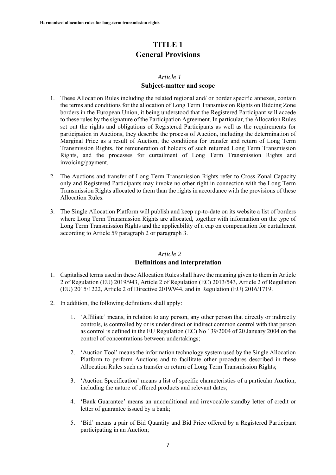# **TITLE 1 General Provisions**

#### *Article 1*

# **Subject-matter and scope**

- 1. These Allocation Rules including the related regional and/ or border specific annexes, contain the terms and conditions for the allocation of Long Term Transmission Rights on Bidding Zone borders in the European Union, it being understood that the Registered Participant will accede to these rules by the signature of the Participation Agreement. In particular, the Allocation Rules set out the rights and obligations of Registered Participants as well as the requirements for participation in Auctions, they describe the process of Auction, including the determination of Marginal Price as a result of Auction, the conditions for transfer and return of Long Term Transmission Rights, for remuneration of holders of such returned Long Term Transmission Rights, and the processes for curtailment of Long Term Transmission Rights and invoicing/payment.
- 2. The Auctions and transfer of Long Term Transmission Rights refer to Cross Zonal Capacity only and Registered Participants may invoke no other right in connection with the Long Term Transmission Rights allocated to them than the rights in accordance with the provisions of these Allocation Rules.
- 3. The Single Allocation Platform will publish and keep up-to-date on its website a list of borders where Long Term Transmission Rights are allocated, together with information on the type of Long Term Transmission Rights and the applicability of a cap on compensation for curtailment according to Article 59 paragraph 2 or paragraph 3.

#### *Article 2*

# **Definitions and interpretation**

- 1. Capitalised terms used in these Allocation Rules shall have the meaning given to them in Article 2 of Regulation (EU) 2019/943, Article 2 of Regulation (EC) 2013/543, Article 2 of Regulation (EU) 2015/1222, Article 2 of Directive 2019/944, and in Regulation (EU) 2016/1719.
- 2. In addition, the following definitions shall apply:
	- 1. 'Affiliate' means, in relation to any person, any other person that directly or indirectly controls, is controlled by or is under direct or indirect common control with that person as control is defined in the EU Regulation (EC) No 139/2004 of 20 January 2004 on the control of concentrations between undertakings;
	- 2. 'Auction Tool' means the information technology system used by the Single Allocation Platform to perform Auctions and to facilitate other procedures described in these Allocation Rules such as transfer or return of Long Term Transmission Rights;
	- 3. 'Auction Specification' means a list of specific characteristics of a particular Auction, including the nature of offered products and relevant dates;
	- 4. 'Bank Guarantee' means an unconditional and irrevocable standby letter of credit or letter of guarantee issued by a bank;
	- 5. 'Bid' means a pair of Bid Quantity and Bid Price offered by a Registered Participant participating in an Auction;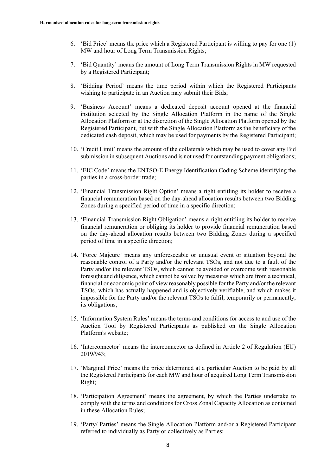- 6. 'Bid Price' means the price which a Registered Participant is willing to pay for one (1) MW and hour of Long Term Transmission Rights;
- 7. 'Bid Quantity' means the amount of Long Term Transmission Rights in MW requested by a Registered Participant;
- 8. 'Bidding Period' means the time period within which the Registered Participants wishing to participate in an Auction may submit their Bids;
- 9. 'Business Account' means a dedicated deposit account opened at the financial institution selected by the Single Allocation Platform in the name of the Single Allocation Platform or at the discretion of the Single Allocation Platform opened by the Registered Participant, but with the Single Allocation Platform as the beneficiary of the dedicated cash deposit, which may be used for payments by the Registered Participant;
- 10. 'Credit Limit' means the amount of the collaterals which may be used to cover any Bid submission in subsequent Auctions and is not used for outstanding payment obligations;
- 11. 'EIC Code' means the ENTSO-E Energy Identification Coding Scheme identifying the parties in a cross-border trade;
- 12. 'Financial Transmission Right Option' means a right entitling its holder to receive a financial remuneration based on the day-ahead allocation results between two Bidding Zones during a specified period of time in a specific direction;
- 13. 'Financial Transmission Right Obligation' means a right entitling its holder to receive financial remuneration or obliging its holder to provide financial remuneration based on the day-ahead allocation results between two Bidding Zones during a specified period of time in a specific direction;
- 14. 'Force Majeure' means any unforeseeable or unusual event or situation beyond the reasonable control of a Party and/or the relevant TSOs, and not due to a fault of the Party and/or the relevant TSOs, which cannot be avoided or overcome with reasonable foresight and diligence, which cannot be solved by measures which are from a technical, financial or economic point of view reasonably possible for the Party and/or the relevant TSOs, which has actually happened and is objectively verifiable, and which makes it impossible for the Party and/or the relevant TSOs to fulfil, temporarily or permanently, its obligations;
- 15. 'Information System Rules' means the terms and conditions for access to and use of the Auction Tool by Registered Participants as published on the Single Allocation Platform's website;
- 16. 'Interconnector' means the interconnector as defined in Article 2 of Regulation (EU) 2019/943;
- 17. 'Marginal Price' means the price determined at a particular Auction to be paid by all the Registered Participants for each MW and hour of acquired Long Term Transmission Right;
- 18. 'Participation Agreement' means the agreement, by which the Parties undertake to comply with the terms and conditions for Cross Zonal Capacity Allocation as contained in these Allocation Rules;
- 19. 'Party/ Parties' means the Single Allocation Platform and/or a Registered Participant referred to individually as Party or collectively as Parties;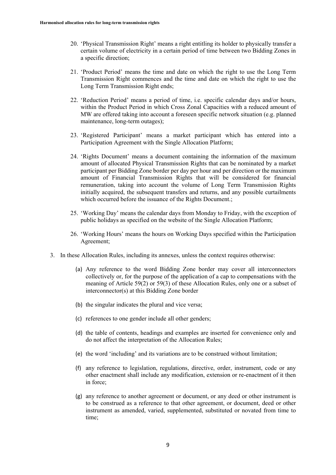- 20. 'Physical Transmission Right' means a right entitling its holder to physically transfer a certain volume of electricity in a certain period of time between two Bidding Zones in a specific direction;
- 21. 'Product Period' means the time and date on which the right to use the Long Term Transmission Right commences and the time and date on which the right to use the Long Term Transmission Right ends;
- 22. 'Reduction Period' means a period of time, i.e. specific calendar days and/or hours, within the Product Period in which Cross Zonal Capacities with a reduced amount of MW are offered taking into account a foreseen specific network situation (e.g. planned maintenance, long-term outages);
- 23. 'Registered Participant' means a market participant which has entered into a Participation Agreement with the Single Allocation Platform;
- 24. 'Rights Document' means a document containing the information of the maximum amount of allocated Physical Transmission Rights that can be nominated by a market participant per Bidding Zone border per day per hour and per direction or the maximum amount of Financial Transmission Rights that will be considered for financial remuneration, taking into account the volume of Long Term Transmission Rights initially acquired, the subsequent transfers and returns, and any possible curtailments which occurred before the issuance of the Rights Document.;
- 25. 'Working Day' means the calendar days from Monday to Friday, with the exception of public holidays as specified on the website of the Single Allocation Platform;
- 26. 'Working Hours' means the hours on Working Days specified within the Participation Agreement;
- 3. In these Allocation Rules, including its annexes, unless the context requires otherwise:
	- (a) Any reference to the word Bidding Zone border may cover all interconnectors collectively or, for the purpose of the application of a cap to compensations with the meaning of Article 59(2) or 59(3) of these Allocation Rules, only one or a subset of interconnector(s) at this Bidding Zone border
	- (b) the singular indicates the plural and vice versa;
	- (c) references to one gender include all other genders;
	- (d) the table of contents, headings and examples are inserted for convenience only and do not affect the interpretation of the Allocation Rules;
	- (e) the word 'including' and its variations are to be construed without limitation;
	- (f) any reference to legislation, regulations, directive, order, instrument, code or any other enactment shall include any modification, extension or re-enactment of it then in force;
	- (g) any reference to another agreement or document, or any deed or other instrument is to be construed as a reference to that other agreement, or document, deed or other instrument as amended, varied, supplemented, substituted or novated from time to time;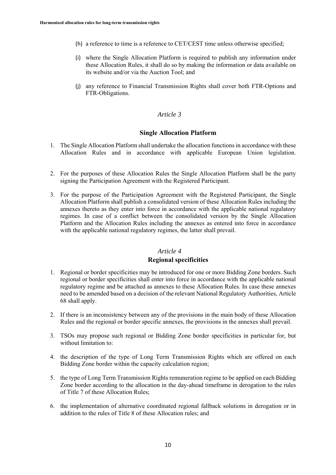- (h) a reference to time is a reference to CET/CEST time unless otherwise specified;
- (i) where the Single Allocation Platform is required to publish any information under these Allocation Rules, it shall do so by making the information or data available on its website and/or via the Auction Tool; and
- (j) any reference to Financial Transmission Rights shall cover both FTR-Options and FTR-Obligations.

#### **Single Allocation Platform**

- 1. The Single Allocation Platform shall undertake the allocation functions in accordance with these Allocation Rules and in accordance with applicable European Union legislation.
- 2. For the purposes of these Allocation Rules the Single Allocation Platform shall be the party signing the Participation Agreement with the Registered Participant.
- 3. For the purpose of the Participation Agreement with the Registered Participant, the Single Allocation Platform shall publish a consolidated version of these Allocation Rules including the annexes thereto as they enter into force in accordance with the applicable national regulatory regimes. In case of a conflict between the consolidated version by the Single Allocation Platform and the Allocation Rules including the annexes as entered into force in accordance with the applicable national regulatory regimes, the latter shall prevail.

#### *Article 4*

#### **Regional specificities**

- 1. Regional or border specificities may be introduced for one or more Bidding Zone borders. Such regional or border specificities shall enter into force in accordance with the applicable national regulatory regime and be attached as annexes to these Allocation Rules. In case these annexes need to be amended based on a decision of the relevant National Regulatory Authorities, Article 68 shall apply.
- 2. If there is an inconsistency between any of the provisions in the main body of these Allocation Rules and the regional or border specific annexes, the provisions in the annexes shall prevail.
- 3. TSOs may propose such regional or Bidding Zone border specificities in particular for, but without limitation to:
- 4. the description of the type of Long Term Transmission Rights which are offered on each Bidding Zone border within the capacity calculation region;
- 5. the type of Long Term Transmission Rights remuneration regime to be applied on each Bidding Zone border according to the allocation in the day-ahead timeframe in derogation to the rules of Title 7 of these Allocation Rules;
- 6. the implementation of alternative coordinated regional fallback solutions in derogation or in addition to the rules of Title 8 of these Allocation rules; and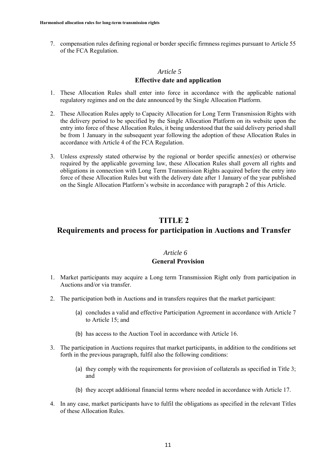7. compensation rules defining regional or border specific firmness regimes pursuant to Article 55 of the FCA Regulation.

### *Article 5*

### **Effective date and application**

- 1. These Allocation Rules shall enter into force in accordance with the applicable national regulatory regimes and on the date announced by the Single Allocation Platform.
- 2. These Allocation Rules apply to Capacity Allocation for Long Term Transmission Rights with the delivery period to be specified by the Single Allocation Platform on its website upon the entry into force of these Allocation Rules, it being understood that the said delivery period shall be from 1 January in the subsequent year following the adoption of these Allocation Rules in accordance with Article 4 of the FCA Regulation.
- 3. Unless expressly stated otherwise by the regional or border specific annex(es) or otherwise required by the applicable governing law, these Allocation Rules shall govern all rights and obligations in connection with Long Term Transmission Rights acquired before the entry into force of these Allocation Rules but with the delivery date after 1 January of the year published on the Single Allocation Platform's website in accordance with paragraph 2 of this Article.

# **TITLE 2**

# **Requirements and process for participation in Auctions and Transfer**

# *Article 6*

#### **General Provision**

- 1. Market participants may acquire a Long term Transmission Right only from participation in Auctions and/or via transfer.
- 2. The participation both in Auctions and in transfers requires that the market participant:
	- (a) concludes a valid and effective Participation Agreement in accordance with Article 7 to Article 15; and
	- (b) has access to the Auction Tool in accordance with Article 16.
- 3. The participation in Auctions requires that market participants, in addition to the conditions set forth in the previous paragraph, fulfil also the following conditions:
	- (a) they comply with the requirements for provision of collaterals as specified in Title 3; and
	- (b) they accept additional financial terms where needed in accordance with Article 17.
- 4. In any case, market participants have to fulfil the obligations as specified in the relevant Titles of these Allocation Rules.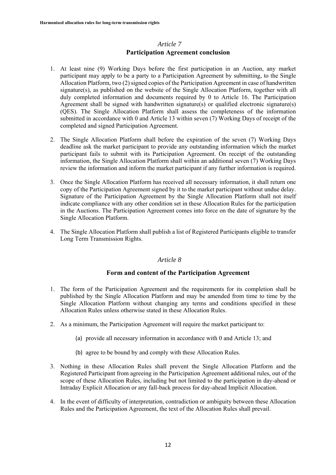# *Article 7* **Participation Agreement conclusion**

- 1. At least nine (9) Working Days before the first participation in an Auction, any market participant may apply to be a party to a Participation Agreement by submitting, to the Single Allocation Platform, two (2) signed copies of the Participation Agreement in case of handwritten signature(s), as published on the website of the Single Allocation Platform, together with all duly completed information and documents required by 0 to Article 16. The Participation Agreement shall be signed with handwritten signature(s) or qualified electronic signature(s) (QES). The Single Allocation Platform shall assess the completeness of the information submitted in accordance with 0 and Article 13 within seven (7) Working Days of receipt of the completed and signed Participation Agreement.
- 2. The Single Allocation Platform shall before the expiration of the seven (7) Working Days deadline ask the market participant to provide any outstanding information which the market participant fails to submit with its Participation Agreement. On receipt of the outstanding information, the Single Allocation Platform shall within an additional seven (7) Working Days review the information and inform the market participant if any further information is required.
- 3. Once the Single Allocation Platform has received all necessary information, it shall return one copy of the Participation Agreement signed by it to the market participant without undue delay. Signature of the Participation Agreement by the Single Allocation Platform shall not itself indicate compliance with any other condition set in these Allocation Rules for the participation in the Auctions. The Participation Agreement comes into force on the date of signature by the Single Allocation Platform.
- 4. The Single Allocation Platform shall publish a list of Registered Participants eligible to transfer Long Term Transmission Rights.

#### *Article 8*

# **Form and content of the Participation Agreement**

- 1. The form of the Participation Agreement and the requirements for its completion shall be published by the Single Allocation Platform and may be amended from time to time by the Single Allocation Platform without changing any terms and conditions specified in these Allocation Rules unless otherwise stated in these Allocation Rules.
- 2. As a minimum, the Participation Agreement will require the market participant to:
	- (a) provide all necessary information in accordance with 0 and Article 13; and
	- (b) agree to be bound by and comply with these Allocation Rules.
- 3. Nothing in these Allocation Rules shall prevent the Single Allocation Platform and the Registered Participant from agreeing in the Participation Agreement additional rules, out of the scope of these Allocation Rules, including but not limited to the participation in day-ahead or Intraday Explicit Allocation or any fall-back process for day-ahead Implicit Allocation.
- 4. In the event of difficulty of interpretation, contradiction or ambiguity between these Allocation Rules and the Participation Agreement, the text of the Allocation Rules shall prevail.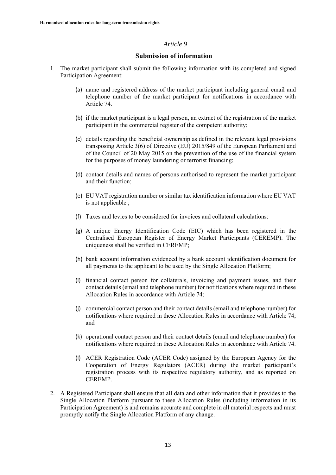### **Submission of information**

- 1. The market participant shall submit the following information with its completed and signed Participation Agreement:
	- (a) name and registered address of the market participant including general email and telephone number of the market participant for notifications in accordance with Article 74.
	- (b) if the market participant is a legal person, an extract of the registration of the market participant in the commercial register of the competent authority;
	- (c) details regarding the beneficial ownership as defined in the relevant legal provisions transposing Article 3(6) of Directive (EU) 2015/849 of the European Parliament and of the Council of 20 May 2015 on the prevention of the use of the financial system for the purposes of money laundering or terrorist financing;
	- (d) contact details and names of persons authorised to represent the market participant and their function;
	- (e) EU VAT registration number or similar tax identification information where EU VAT is not applicable ;
	- (f) Taxes and levies to be considered for invoices and collateral calculations:
	- (g) A unique Energy Identification Code (EIC) which has been registered in the Centralised European Register of Energy Market Participants (CEREMP). The uniqueness shall be verified in CEREMP;
	- (h) bank account information evidenced by a bank account identification document for all payments to the applicant to be used by the Single Allocation Platform;
	- (i) financial contact person for collaterals, invoicing and payment issues, and their contact details (email and telephone number) for notifications where required in these Allocation Rules in accordance with Article 74;
	- (j) commercial contact person and their contact details (email and telephone number) for notifications where required in these Allocation Rules in accordance with Article 74; and
	- (k) operational contact person and their contact details (email and telephone number) for notifications where required in these Allocation Rules in accordance with Article 74.
	- (l) ACER Registration Code (ACER Code) assigned by the European Agency for the Cooperation of Energy Regulators (ACER) during the market participant's registration process with its respective regulatory authority, and as reported on CEREMP.
- 2. A Registered Participant shall ensure that all data and other information that it provides to the Single Allocation Platform pursuant to these Allocation Rules (including information in its Participation Agreement) is and remains accurate and complete in all material respects and must promptly notify the Single Allocation Platform of any change.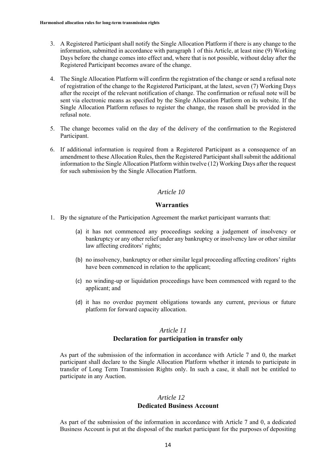- 3. A Registered Participant shall notify the Single Allocation Platform if there is any change to the information, submitted in accordance with paragraph 1 of this Article, at least nine (9) Working Days before the change comes into effect and, where that is not possible, without delay after the Registered Participant becomes aware of the change.
- 4. The Single Allocation Platform will confirm the registration of the change or send a refusal note of registration of the change to the Registered Participant, at the latest, seven (7) Working Days after the receipt of the relevant notification of change. The confirmation or refusal note will be sent via electronic means as specified by the Single Allocation Platform on its website. If the Single Allocation Platform refuses to register the change, the reason shall be provided in the refusal note.
- 5. The change becomes valid on the day of the delivery of the confirmation to the Registered Participant.
- 6. If additional information is required from a Registered Participant as a consequence of an amendment to these Allocation Rules, then the Registered Participant shall submit the additional information to the Single Allocation Platform within twelve (12) Working Days after the request for such submission by the Single Allocation Platform.

#### **Warranties**

- 1. By the signature of the Participation Agreement the market participant warrants that:
	- (a) it has not commenced any proceedings seeking a judgement of insolvency or bankruptcy or any other relief under any bankruptcy or insolvency law or other similar law affecting creditors' rights;
	- (b) no insolvency, bankruptcy or other similar legal proceeding affecting creditors' rights have been commenced in relation to the applicant;
	- (c) no winding-up or liquidation proceedings have been commenced with regard to the applicant; and
	- (d) it has no overdue payment obligations towards any current, previous or future platform for forward capacity allocation.

#### *Article 11*

# **Declaration for participation in transfer only**

As part of the submission of the information in accordance with Article 7 and 0, the market participant shall declare to the Single Allocation Platform whether it intends to participate in transfer of Long Term Transmission Rights only. In such a case, it shall not be entitled to participate in any Auction.

#### *Article 12*

#### **Dedicated Business Account**

As part of the submission of the information in accordance with Article 7 and 0, a dedicated Business Account is put at the disposal of the market participant for the purposes of depositing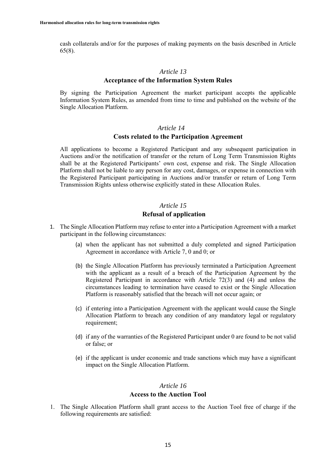cash collaterals and/or for the purposes of making payments on the basis described in Article 65(8).

#### *Article 13*

#### **Acceptance of the Information System Rules**

By signing the Participation Agreement the market participant accepts the applicable Information System Rules, as amended from time to time and published on the website of the Single Allocation Platform.

#### *Article 14*

#### **Costs related to the Participation Agreement**

All applications to become a Registered Participant and any subsequent participation in Auctions and/or the notification of transfer or the return of Long Term Transmission Rights shall be at the Registered Participants' own cost, expense and risk. The Single Allocation Platform shall not be liable to any person for any cost, damages, or expense in connection with the Registered Participant participating in Auctions and/or transfer or return of Long Term Transmission Rights unless otherwise explicitly stated in these Allocation Rules.

#### *Article 15*

# **Refusal of application**

- 1. The Single Allocation Platform may refuse to enter into a Participation Agreement with a market participant in the following circumstances:
	- (a) when the applicant has not submitted a duly completed and signed Participation Agreement in accordance with Article 7, 0 and 0; or
	- (b) the Single Allocation Platform has previously terminated a Participation Agreement with the applicant as a result of a breach of the Participation Agreement by the Registered Participant in accordance with Article 72(3) and (4) and unless the circumstances leading to termination have ceased to exist or the Single Allocation Platform is reasonably satisfied that the breach will not occur again; or
	- (c) if entering into a Participation Agreement with the applicant would cause the Single Allocation Platform to breach any condition of any mandatory legal or regulatory requirement;
	- (d) if any of the warranties of the Registered Participant under 0 are found to be not valid or false; or
	- (e) if the applicant is under economic and trade sanctions which may have a significant impact on the Single Allocation Platform.

# *Article 16* **Access to the Auction Tool**

1. The Single Allocation Platform shall grant access to the Auction Tool free of charge if the following requirements are satisfied: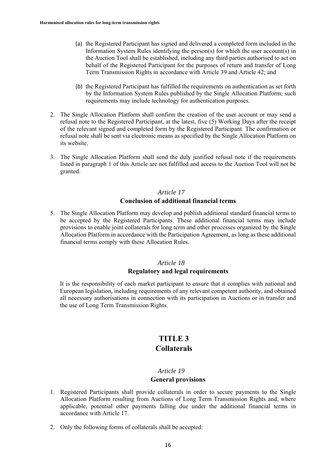- (a) the Registered Participant has signed and delivered a completed form included in the Information System Rules identifying the person(s) for which the user account(s) in the Auction Tool shall be established, including any third parties authorised to act on behalf of the Registered Participant for the purposes of return and transfer of Long Term Transmission Rights in accordance with Article 39 and Article 42; and
- (b) the Registered Participant has fulfilled the requirements on authentication as set forth by the Information System Rules published by the Single Allocation Platform; such requirements may include technology for authentication purposes.
- 2. The Single Allocation Platform shall confirm the creation of the user account or may send a refusal note to the Registered Participant, at the latest, five (5) Working Days after the receipt of the relevant signed and completed form by the Registered Participant. The confirmation or refusal note shall be sent via electronic means as specified by the Single Allocation Platform on its website.
- 3. The Single Allocation Platform shall send the duly justified refusal note if the requirements listed in paragraph 1 of this Article are not fulfilled and access to the Auction Tool will not be granted.

# *Article 17* **Conclusion of additional financial terms**

5. The Single Allocation Platform may develop and publish additional standard financial terms to be accepted by the Registered Participants. These additional financial terms may include provisions to enable joint collaterals for long term and other processes organized by the Single Allocation Platform in accordance with the Participation Agreement, as long as these additional financial terms comply with these Allocation Rules.

# *Article 18* **Regulatory and legal requirements**

It is the responsibility of each market participant to ensure that it complies with national and European legislation, including requirements of any relevant competent authority, and obtained all necessary authorisations in connection with its participation in Auctions or in transfer and the use of Long Term Transmission Rights.

# **TITLE 3 Collaterals**

# *Article 19*

#### **General provisions**

- 1. Registered Participants shall provide collaterals in order to secure payments to the Single Allocation Platform resulting from Auctions of Long Term Transmission Rights and, where applicable, potential other payments falling due under the additional financial terms in accordance with Article 17.
- 2. Only the following forms of collaterals shall be accepted: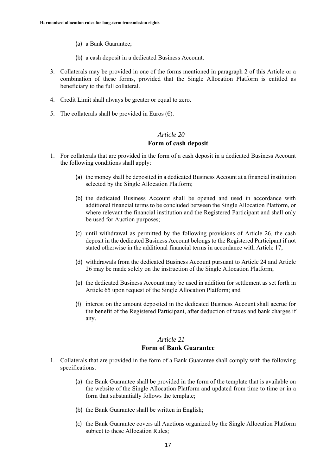- (a) a Bank Guarantee;
- (b) a cash deposit in a dedicated Business Account.
- 3. Collaterals may be provided in one of the forms mentioned in paragraph 2 of this Article or a combination of these forms, provided that the Single Allocation Platform is entitled as beneficiary to the full collateral.
- 4. Credit Limit shall always be greater or equal to zero.
- 5. The collaterals shall be provided in Euros  $(\epsilon)$ .

#### **Form of cash deposit**

- 1. For collaterals that are provided in the form of a cash deposit in a dedicated Business Account the following conditions shall apply:
	- (a) the money shall be deposited in a dedicated Business Account at a financial institution selected by the Single Allocation Platform;
	- (b) the dedicated Business Account shall be opened and used in accordance with additional financial terms to be concluded between the Single Allocation Platform, or where relevant the financial institution and the Registered Participant and shall only be used for Auction purposes;
	- (c) until withdrawal as permitted by the following provisions of Article 26, the cash deposit in the dedicated Business Account belongs to the Registered Participant if not stated otherwise in the additional financial terms in accordance with Article 17;
	- (d) withdrawals from the dedicated Business Account pursuant to Article 24 and Article 26 may be made solely on the instruction of the Single Allocation Platform;
	- (e) the dedicated Business Account may be used in addition for settlement as set forth in Article 65 upon request of the Single Allocation Platform; and
	- (f) interest on the amount deposited in the dedicated Business Account shall accrue for the benefit of the Registered Participant, after deduction of taxes and bank charges if any.

# *Article 21*

# **Form of Bank Guarantee**

- 1. Collaterals that are provided in the form of a Bank Guarantee shall comply with the following specifications:
	- (a) the Bank Guarantee shall be provided in the form of the template that is available on the website of the Single Allocation Platform and updated from time to time or in a form that substantially follows the template;
	- (b) the Bank Guarantee shall be written in English;
	- (c) the Bank Guarantee covers all Auctions organized by the Single Allocation Platform subject to these Allocation Rules;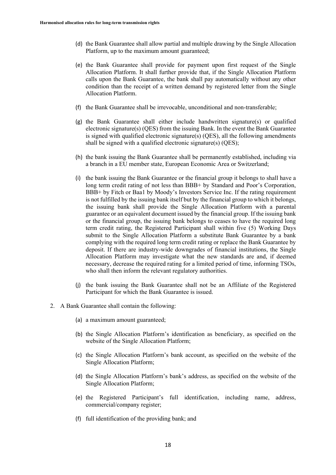- (d) the Bank Guarantee shall allow partial and multiple drawing by the Single Allocation Platform, up to the maximum amount guaranteed;
- (e) the Bank Guarantee shall provide for payment upon first request of the Single Allocation Platform. It shall further provide that, if the Single Allocation Platform calls upon the Bank Guarantee, the bank shall pay automatically without any other condition than the receipt of a written demand by registered letter from the Single Allocation Platform.
- (f) the Bank Guarantee shall be irrevocable, unconditional and non-transferable;
- (g) the Bank Guarantee shall either include handwritten signature(s) or qualified electronic signature(s) (QES) from the issuing Bank. In the event the Bank Guarantee is signed with qualified electronic signature(s) (QES), all the following amendments shall be signed with a qualified electronic signature(s) (QES);
- (h) the bank issuing the Bank Guarantee shall be permanently established, including via a branch in a EU member state, European Economic Area or Switzerland;
- (i) the bank issuing the Bank Guarantee or the financial group it belongs to shall have a long term credit rating of not less than BBB+ by Standard and Poor's Corporation, BBB+ by Fitch or Baa1 by Moody's Investors Service Inc. If the rating requirement is not fulfilled by the issuing bank itself but by the financial group to which it belongs, the issuing bank shall provide the Single Allocation Platform with a parental guarantee or an equivalent document issued by the financial group. If the issuing bank or the financial group, the issuing bank belongs to ceases to have the required long term credit rating, the Registered Participant shall within five (5) Working Days submit to the Single Allocation Platform a substitute Bank Guarantee by a bank complying with the required long term credit rating or replace the Bank Guarantee by deposit. If there are industry-wide downgrades of financial institutions, the Single Allocation Platform may investigate what the new standards are and, if deemed necessary, decrease the required rating for a limited period of time, informing TSOs, who shall then inform the relevant regulatory authorities.
- (j) the bank issuing the Bank Guarantee shall not be an Affiliate of the Registered Participant for which the Bank Guarantee is issued.
- 2. A Bank Guarantee shall contain the following:
	- (a) a maximum amount guaranteed;
	- (b) the Single Allocation Platform's identification as beneficiary, as specified on the website of the Single Allocation Platform;
	- (c) the Single Allocation Platform's bank account, as specified on the website of the Single Allocation Platform;
	- (d) the Single Allocation Platform's bank's address, as specified on the website of the Single Allocation Platform;
	- (e) the Registered Participant's full identification, including name, address, commercial/company register;
	- (f) full identification of the providing bank; and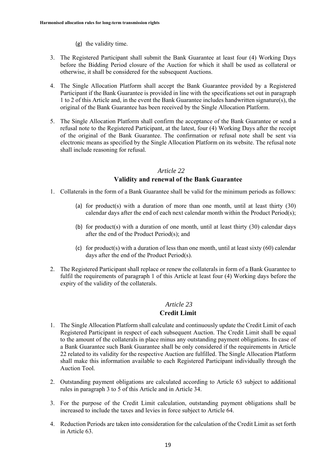- (g) the validity time.
- 3. The Registered Participant shall submit the Bank Guarantee at least four (4) Working Days before the Bidding Period closure of the Auction for which it shall be used as collateral or otherwise, it shall be considered for the subsequent Auctions.
- 4. The Single Allocation Platform shall accept the Bank Guarantee provided by a Registered Participant if the Bank Guarantee is provided in line with the specifications set out in paragraph 1 to 2 of this Article and, in the event the Bank Guarantee includes handwritten signature(s), the original of the Bank Guarantee has been received by the Single Allocation Platform.
- 5. The Single Allocation Platform shall confirm the acceptance of the Bank Guarantee or send a refusal note to the Registered Participant, at the latest, four (4) Working Days after the receipt of the original of the Bank Guarantee. The confirmation or refusal note shall be sent via electronic means as specified by the Single Allocation Platform on its website. The refusal note shall include reasoning for refusal.

# **Validity and renewal of the Bank Guarantee**

- 1. Collaterals in the form of a Bank Guarantee shall be valid for the minimum periods as follows:
	- (a) for product(s) with a duration of more than one month, until at least thirty  $(30)$ calendar days after the end of each next calendar month within the Product Period(s);
	- (b) for product(s) with a duration of one month, until at least thirty  $(30)$  calendar days after the end of the Product Period(s); and
	- (c) for product(s) with a duration of less than one month, until at least sixty  $(60)$  calendar days after the end of the Product Period(s).
- 2. The Registered Participant shall replace or renew the collaterals in form of a Bank Guarantee to fulfil the requirements of paragraph 1 of this Article at least four (4) Working days before the expiry of the validity of the collaterals.

# *Article 23*

# **Credit Limit**

- 1. The Single Allocation Platform shall calculate and continuously update the Credit Limit of each Registered Participant in respect of each subsequent Auction. The Credit Limit shall be equal to the amount of the collaterals in place minus any outstanding payment obligations. In case of a Bank Guarantee such Bank Guarantee shall be only considered if the requirements in Article 22 related to its validity for the respective Auction are fulfilled. The Single Allocation Platform shall make this information available to each Registered Participant individually through the Auction Tool.
- 2. Outstanding payment obligations are calculated according to Article 63 subject to additional rules in paragraph 3 to 5 of this Article and in Article 34.
- 3. For the purpose of the Credit Limit calculation, outstanding payment obligations shall be increased to include the taxes and levies in force subject to Article 64.
- 4. Reduction Periods are taken into consideration for the calculation of the Credit Limit as set forth in Article 63.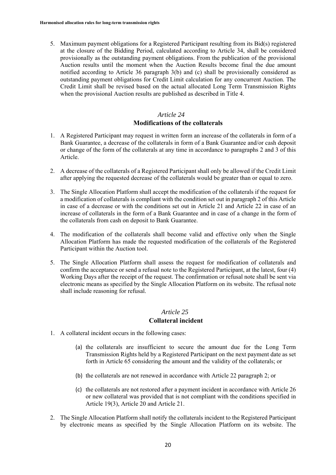5. Maximum payment obligations for a Registered Participant resulting from its Bid(s) registered at the closure of the Bidding Period, calculated according to Article 34, shall be considered provisionally as the outstanding payment obligations. From the publication of the provisional Auction results until the moment when the Auction Results become final the due amount notified according to Article 36 paragraph 3(b) and (c) shall be provisionally considered as outstanding payment obligations for Credit Limit calculation for any concurrent Auction. The Credit Limit shall be revised based on the actual allocated Long Term Transmission Rights when the provisional Auction results are published as described in Title 4.

# *Article 24* **Modifications of the collaterals**

- 1. A Registered Participant may request in written form an increase of the collaterals in form of a Bank Guarantee, a decrease of the collaterals in form of a Bank Guarantee and/or cash deposit or change of the form of the collaterals at any time in accordance to paragraphs 2 and 3 of this Article.
- 2. A decrease of the collaterals of a Registered Participant shall only be allowed if the Credit Limit after applying the requested decrease of the collaterals would be greater than or equal to zero.
- 3. The Single Allocation Platform shall accept the modification of the collaterals if the request for a modification of collaterals is compliant with the condition set out in paragraph 2 of this Article in case of a decrease or with the conditions set out in Article 21 and Article 22 in case of an increase of collaterals in the form of a Bank Guarantee and in case of a change in the form of the collaterals from cash on deposit to Bank Guarantee.
- 4. The modification of the collaterals shall become valid and effective only when the Single Allocation Platform has made the requested modification of the collaterals of the Registered Participant within the Auction tool.
- 5. The Single Allocation Platform shall assess the request for modification of collaterals and confirm the acceptance or send a refusal note to the Registered Participant, at the latest, four (4) Working Days after the receipt of the request. The confirmation or refusal note shall be sent via electronic means as specified by the Single Allocation Platform on its website. The refusal note shall include reasoning for refusal.

### *Article 25*

#### **Collateral incident**

- 1. A collateral incident occurs in the following cases:
	- (a) the collaterals are insufficient to secure the amount due for the Long Term Transmission Rights held by a Registered Participant on the next payment date as set forth in Article 65 considering the amount and the validity of the collaterals; or
	- (b) the collaterals are not renewed in accordance with Article 22 paragraph 2; or
	- (c) the collaterals are not restored after a payment incident in accordance with Article 26 or new collateral was provided that is not compliant with the conditions specified in Article 19(3), Article 20 and Article 21.
- 2. The Single Allocation Platform shall notify the collaterals incident to the Registered Participant by electronic means as specified by the Single Allocation Platform on its website. The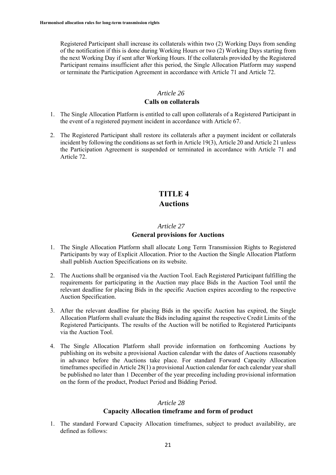Registered Participant shall increase its collaterals within two (2) Working Days from sending of the notification if this is done during Working Hours or two (2) Working Days starting from the next Working Day if sent after Working Hours. If the collaterals provided by the Registered Participant remains insufficient after this period, the Single Allocation Platform may suspend or terminate the Participation Agreement in accordance with Article 71 and Article 72.

# *Article 26*

### **Calls on collaterals**

- 1. The Single Allocation Platform is entitled to call upon collaterals of a Registered Participant in the event of a registered payment incident in accordance with Article 67.
- 2. The Registered Participant shall restore its collaterals after a payment incident or collaterals incident by following the conditions as set forth in Article 19(3), Article 20 and Article 21 unless the Participation Agreement is suspended or terminated in accordance with Article 71 and Article 72.

# **TITLE 4 Auctions**

#### *Article 27*

#### **General provisions for Auctions**

- 1. The Single Allocation Platform shall allocate Long Term Transmission Rights to Registered Participants by way of Explicit Allocation. Prior to the Auction the Single Allocation Platform shall publish Auction Specifications on its website.
- 2. The Auctions shall be organised via the Auction Tool. Each Registered Participant fulfilling the requirements for participating in the Auction may place Bids in the Auction Tool until the relevant deadline for placing Bids in the specific Auction expires according to the respective Auction Specification.
- 3. After the relevant deadline for placing Bids in the specific Auction has expired, the Single Allocation Platform shall evaluate the Bids including against the respective Credit Limits of the Registered Participants. The results of the Auction will be notified to Registered Participants via the Auction Tool.
- 4. The Single Allocation Platform shall provide information on forthcoming Auctions by publishing on its website a provisional Auction calendar with the dates of Auctions reasonably in advance before the Auctions take place. For standard Forward Capacity Allocation timeframes specified in Article 28(1) a provisional Auction calendar for each calendar year shall be published no later than 1 December of the year preceding including provisional information on the form of the product, Product Period and Bidding Period.

# *Article 28*

# **Capacity Allocation timeframe and form of product**

1. The standard Forward Capacity Allocation timeframes, subject to product availability, are defined as follows: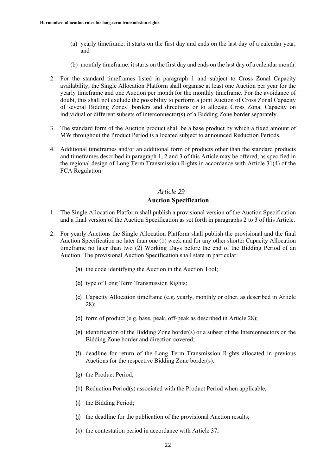- (a) yearly timeframe: it starts on the first day and ends on the last day of a calendar year; and
- (b) monthly timeframe: it starts on the first day and ends on the last day of a calendar month.
- 2. For the standard timeframes listed in paragraph 1 and subject to Cross Zonal Capacity availability, the Single Allocation Platform shall organise at least one Auction per year for the yearly timeframe and one Auction per month for the monthly timeframe. For the avoidance of doubt, this shall not exclude the possibility to perform a joint Auction of Cross Zonal Capacity of several Bidding Zones' borders and directions or to allocate Cross Zonal Capacity on individual or different subsets of interconnector(s) of a Bidding Zone border separately.
- 3. The standard form of the Auction product shall be a base product by which a fixed amount of MW throughout the Product Period is allocated subject to announced Reduction Periods.
- 4. Additional timeframes and/or an additional form of products other than the standard products and timeframes described in paragraph 1, 2 and 3 of this Article may be offered, as specified in the regional design of Long Term Transmission Rights in accordance with Article 31(4) of the FCA Regulation.

# *Article 29* **Auction Specification**

- 1. The Single Allocation Platform shall publish a provisional version of the Auction Specification and a final version of the Auction Specification as set forth in paragraphs 2 to 3 of this Article.
- 2. For yearly Auctions the Single Allocation Platform shall publish the provisional and the final Auction Specification no later than one (1) week and for any other shorter Capacity Allocation timeframe no later than two (2) Working Days before the end of the Bidding Period of an Auction. The provisional Auction Specification shall state in particular:
	- (a) the code identifying the Auction in the Auction Tool;
	- (b) type of Long Term Transmission Rights;
	- (c) Capacity Allocation timeframe (e.g. yearly, monthly or other, as described in Article 28);
	- (d) form of product (e.g. base, peak, off-peak as described in Article 28);
	- (e) identification of the Bidding Zone border(s) or a subset of the Interconnectors on the Bidding Zone border and direction covered;
	- (f) deadline for return of the Long Term Transmission Rights allocated in previous Auctions for the respective Bidding Zone border(s).
	- (g) the Product Period;
	- (h) Reduction Period(s) associated with the Product Period when applicable;
	- (i) the Bidding Period;
	- (j) the deadline for the publication of the provisional Auction results;
	- (k) the contestation period in accordance with Article 37;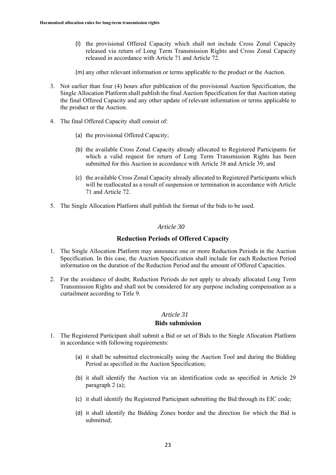- (l) the provisional Offered Capacity which shall not include Cross Zonal Capacity released via return of Long Term Transmission Rights and Cross Zonal Capacity released in accordance with Article 71 and Article 72.
- (m) any other relevant information or terms applicable to the product or the Auction.
- 3. Not earlier than four (4) hours after publication of the provisional Auction Specification, the Single Allocation Platform shall publish the final Auction Specification for that Auction stating the final Offered Capacity and any other update of relevant information or terms applicable to the product or the Auction.
- 4. The final Offered Capacity shall consist of:
	- (a) the provisional Offered Capacity;
	- (b) the available Cross Zonal Capacity already allocated to Registered Participants for which a valid request for return of Long Term Transmission Rights has been submitted for this Auction in accordance with Article 38 and Article 39; and
	- (c) the available Cross Zonal Capacity already allocated to Registered Participants which will be reallocated as a result of suspension or termination in accordance with Article 71 and Article 72.
- 5. The Single Allocation Platform shall publish the format of the bids to be used.

#### **Reduction Periods of Offered Capacity**

- 1. The Single Allocation Platform may announce one or more Reduction Periods in the Auction Specification. In this case, the Auction Specification shall include for each Reduction Period information on the duration of the Reduction Period and the amount of Offered Capacities.
- 2. For the avoidance of doubt, Reduction Periods do not apply to already allocated Long Term Transmission Rights and shall not be considered for any purpose including compensation as a curtailment according to Title 9.

# *Article 31*

#### **Bids submission**

- 1. The Registered Participant shall submit a Bid or set of Bids to the Single Allocation Platform in accordance with following requirements:
	- (a) it shall be submitted electronically using the Auction Tool and during the Bidding Period as specified in the Auction Specification;
	- (b) it shall identify the Auction via an identification code as specified in Article 29 paragraph 2 (a);
	- (c) it shall identify the Registered Participant submitting the Bid through its EIC code;
	- (d) it shall identify the Bidding Zones border and the direction for which the Bid is submitted;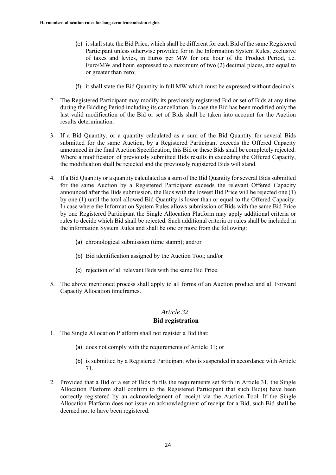- (e) it shall state the Bid Price, which shall be different for each Bid of the same Registered Participant unless otherwise provided for in the Information System Rules, exclusive of taxes and levies, in Euros per MW for one hour of the Product Period, i.e. Euro/MW and hour, expressed to a maximum of two (2) decimal places, and equal to or greater than zero;
- (f) it shall state the Bid Quantity in full MW which must be expressed without decimals.
- 2. The Registered Participant may modify its previously registered Bid or set of Bids at any time during the Bidding Period including its cancellation. In case the Bid has been modified only the last valid modification of the Bid or set of Bids shall be taken into account for the Auction results determination.
- 3. If a Bid Quantity, or a quantity calculated as a sum of the Bid Quantity for several Bids submitted for the same Auction, by a Registered Participant exceeds the Offered Capacity announced in the final Auction Specification, this Bid or these Bids shall be completely rejected. Where a modification of previously submitted Bids results in exceeding the Offered Capacity, the modification shall be rejected and the previously registered Bids will stand.
- 4. If a Bid Quantity or a quantity calculated as a sum of the Bid Quantity for several Bids submitted for the same Auction by a Registered Participant exceeds the relevant Offered Capacity announced after the Bids submission, the Bids with the lowest Bid Price will be rejected one (1) by one (1) until the total allowed Bid Quantity is lower than or equal to the Offered Capacity. In case where the Information System Rules allows submission of Bids with the same Bid Price by one Registered Participant the Single Allocation Platform may apply additional criteria or rules to decide which Bid shall be rejected. Such additional criteria or rules shall be included in the information System Rules and shall be one or more from the following:
	- (a) chronological submission (time stamp); and/or
	- (b) Bid identification assigned by the Auction Tool; and/or
	- (c) rejection of all relevant Bids with the same Bid Price.
- 5. The above mentioned process shall apply to all forms of an Auction product and all Forward Capacity Allocation timeframes.

#### **Bid registration**

- 1. The Single Allocation Platform shall not register a Bid that:
	- (a) does not comply with the requirements of Article 31; or
	- (b) is submitted by a Registered Participant who is suspended in accordance with Article 71.
- 2. Provided that a Bid or a set of Bids fulfils the requirements set forth in Article 31, the Single Allocation Platform shall confirm to the Registered Participant that such Bid(s) have been correctly registered by an acknowledgment of receipt via the Auction Tool. If the Single Allocation Platform does not issue an acknowledgment of receipt for a Bid, such Bid shall be deemed not to have been registered.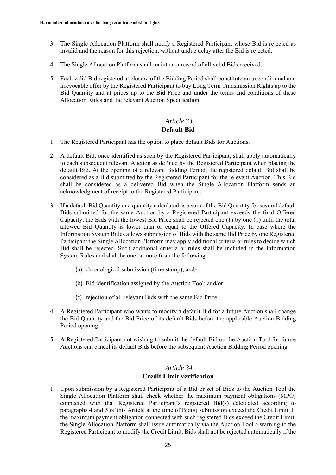- 3. The Single Allocation Platform shall notify a Registered Participant whose Bid is rejected as invalid and the reason for this rejection, without undue delay after the Bid is rejected.
- 4. The Single Allocation Platform shall maintain a record of all valid Bids received.
- 5. Each valid Bid registered at closure of the Bidding Period shall constitute an unconditional and irrevocable offer by the Registered Participant to buy Long Term Transmission Rights up to the Bid Quantity and at prices up to the Bid Price and under the terms and conditions of these Allocation Rules and the relevant Auction Specification.

# *Article 33* **Default Bid**

- 1. The Registered Participant has the option to place default Bids for Auctions.
- 2. A default Bid, once identified as such by the Registered Participant, shall apply automatically to each subsequent relevant Auction as defined by the Registered Participant when placing the default Bid. At the opening of a relevant Bidding Period, the registered default Bid shall be considered as a Bid submitted by the Registered Participant for the relevant Auction. This Bid shall be considered as a delivered Bid when the Single Allocation Platform sends an acknowledgment of receipt to the Registered Participant.
- 3. If a default Bid Quantity or a quantity calculated as a sum of the Bid Quantity for several default Bids submitted for the same Auction by a Registered Participant exceeds the final Offered Capacity, the Bids with the lowest Bid Price shall be rejected one (1) by one (1) until the total allowed Bid Quantity is lower than or equal to the Offered Capacity. In case where the Information System Rules allows submission of Bids with the same Bid Price by one Registered Participant the Single Allocation Platform may apply additional criteria or rules to decide which Bid shall be rejected. Such additional criteria or rules shall be included in the Information System Rules and shall be one or more from the following:
	- (a) chronological submission (time stamp); and/or
	- (b) Bid identification assigned by the Auction Tool; and/or
	- (c) rejection of all relevant Bids with the same Bid Price.
- 4. A Registered Participant who wants to modify a default Bid for a future Auction shall change the Bid Quantity and the Bid Price of its default Bids before the applicable Auction Bidding Period opening.
- 5. A Registered Participant not wishing to submit the default Bid on the Auction Tool for future Auctions can cancel its default Bids before the subsequent Auction Bidding Period opening.

# *Article 34* **Credit Limit verification**

1. Upon submission by a Registered Participant of a Bid or set of Bids to the Auction Tool the Single Allocation Platform shall check whether the maximum payment obligations (MPO) connected with that Registered Participant's registered Bid(s) calculated according to paragraphs 4 and 5 of this Article at the time of Bid(s) submission exceed the Credit Limit. If the maximum payment obligation connected with such registered Bids exceed the Credit Limit, the Single Allocation Platform shall issue automatically via the Auction Tool a warning to the Registered Participant to modify the Credit Limit. Bids shall not be rejected automatically if the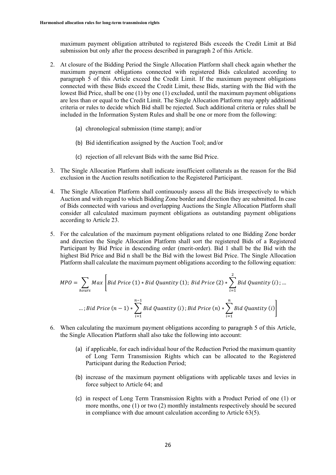maximum payment obligation attributed to registered Bids exceeds the Credit Limit at Bid submission but only after the process described in paragraph 2 of this Article.

- 2. At closure of the Bidding Period the Single Allocation Platform shall check again whether the maximum payment obligations connected with registered Bids calculated according to paragraph 5 of this Article exceed the Credit Limit. If the maximum payment obligations connected with these Bids exceed the Credit Limit, these Bids, starting with the Bid with the lowest Bid Price, shall be one (1) by one (1) excluded, until the maximum payment obligations are less than or equal to the Credit Limit. The Single Allocation Platform may apply additional criteria or rules to decide which Bid shall be rejected. Such additional criteria or rules shall be included in the Information System Rules and shall be one or more from the following:
	- (a) chronological submission (time stamp); and/or
	- (b) Bid identification assigned by the Auction Tool; and/or
	- (c) rejection of all relevant Bids with the same Bid Price.
- 3. The Single Allocation Platform shall indicate insufficient collaterals as the reason for the Bid exclusion in the Auction results notification to the Registered Participant.
- 4. The Single Allocation Platform shall continuously assess all the Bids irrespectively to which Auction and with regard to which Bidding Zone border and direction they are submitted. In case of Bids connected with various and overlapping Auctions the Single Allocation Platform shall consider all calculated maximum payment obligations as outstanding payment obligations according to Article 23.
- 5. For the calculation of the maximum payment obligations related to one Bidding Zone border and direction the Single Allocation Platform shall sort the registered Bids of a Registered Participant by Bid Price in descending order (merit-order). Bid 1 shall be the Bid with the highest Bid Price and Bid n shall be the Bid with the lowest Bid Price. The Single Allocation Platform shall calculate the maximum payment obligations according to the following equation:

$$
MPO = \sum_{hours} Max \left[ Bid \, Price \, (1) * Bid \, Quantity \, (1); \, Bid \, Price \, (2) * \sum_{i=1}^{2} Bid \, Quantity \, (i); \, ...
$$
\n
$$
\dots; Bid \, Price \, (n-1) * \sum_{i=1}^{n-1} Bid \, Quantity \, (i); Bid \, Price \, (n) * \sum_{i=1}^{n} Bid \, Quantity \, (i) \right]
$$

- 6. When calculating the maximum payment obligations according to paragraph 5 of this Article, the Single Allocation Platform shall also take the following into account:
	- (a) if applicable, for each individual hour of the Reduction Period the maximum quantity of Long Term Transmission Rights which can be allocated to the Registered Participant during the Reduction Period;
	- (b) increase of the maximum payment obligations with applicable taxes and levies in force subject to Article 64; and
	- (c) in respect of Long Term Transmission Rights with a Product Period of one (1) or more months, one (1) or two (2) monthly instalments respectively should be secured in compliance with due amount calculation according to Article 63(5).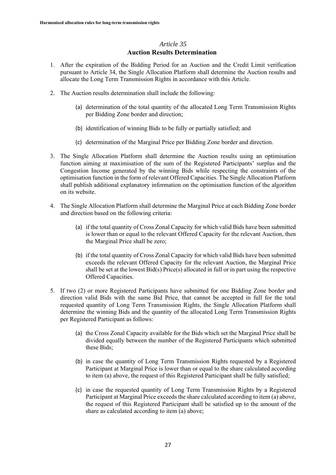### **Auction Results Determination**

- 1. After the expiration of the Bidding Period for an Auction and the Credit Limit verification pursuant to Article 34, the Single Allocation Platform shall determine the Auction results and allocate the Long Term Transmission Rights in accordance with this Article.
- 2. The Auction results determination shall include the following:
	- (a) determination of the total quantity of the allocated Long Term Transmission Rights per Bidding Zone border and direction;
	- (b) identification of winning Bids to be fully or partially satisfied; and
	- (c) determination of the Marginal Price per Bidding Zone border and direction.
- 3. The Single Allocation Platform shall determine the Auction results using an optimisation function aiming at maximisation of the sum of the Registered Participants' surplus and the Congestion Income generated by the winning Bids while respecting the constraints of the optimisation function in the form of relevant Offered Capacities. The Single Allocation Platform shall publish additional explanatory information on the optimisation function of the algorithm on its website.
- 4. The Single Allocation Platform shall determine the Marginal Price at each Bidding Zone border and direction based on the following criteria:
	- (a) if the total quantity of Cross Zonal Capacity for which valid Bids have been submitted is lower than or equal to the relevant Offered Capacity for the relevant Auction, then the Marginal Price shall be zero;
	- (b) if the total quantity of Cross Zonal Capacity for which valid Bids have been submitted exceeds the relevant Offered Capacity for the relevant Auction, the Marginal Price shall be set at the lowest Bid(s) Price(s) allocated in full or in part using the respective Offered Capacities.
- 5. If two (2) or more Registered Participants have submitted for one Bidding Zone border and direction valid Bids with the same Bid Price, that cannot be accepted in full for the total requested quantity of Long Term Transmission Rights, the Single Allocation Platform shall determine the winning Bids and the quantity of the allocated Long Term Transmission Rights per Registered Participant as follows:
	- (a) the Cross Zonal Capacity available for the Bids which set the Marginal Price shall be divided equally between the number of the Registered Participants which submitted these Bids;
	- (b) in case the quantity of Long Term Transmission Rights requested by a Registered Participant at Marginal Price is lower than or equal to the share calculated according to item (a) above, the request of this Registered Participant shall be fully satisfied;
	- (c) in case the requested quantity of Long Term Transmission Rights by a Registered Participant at Marginal Price exceeds the share calculated according to item (a) above, the request of this Registered Participant shall be satisfied up to the amount of the share as calculated according to item (a) above;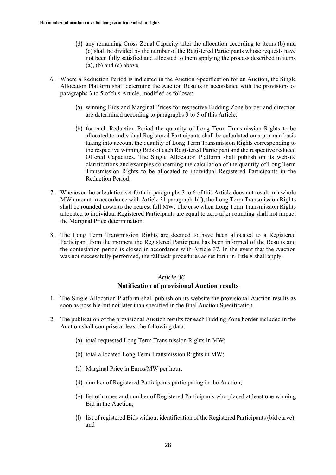- (d) any remaining Cross Zonal Capacity after the allocation according to items (b) and (c) shall be divided by the number of the Registered Participants whose requests have not been fully satisfied and allocated to them applying the process described in items  $(a)$ ,  $(b)$  and  $(c)$  above.
- 6. Where a Reduction Period is indicated in the Auction Specification for an Auction, the Single Allocation Platform shall determine the Auction Results in accordance with the provisions of paragraphs 3 to 5 of this Article, modified as follows:
	- (a) winning Bids and Marginal Prices for respective Bidding Zone border and direction are determined according to paragraphs 3 to 5 of this Article;
	- (b) for each Reduction Period the quantity of Long Term Transmission Rights to be allocated to individual Registered Participants shall be calculated on a pro-rata basis taking into account the quantity of Long Term Transmission Rights corresponding to the respective winning Bids of each Registered Participant and the respective reduced Offered Capacities. The Single Allocation Platform shall publish on its website clarifications and examples concerning the calculation of the quantity of Long Term Transmission Rights to be allocated to individual Registered Participants in the Reduction Period.
- 7. Whenever the calculation set forth in paragraphs 3 to 6 of this Article does not result in a whole MW amount in accordance with Article 31 paragraph 1(f), the Long Term Transmission Rights shall be rounded down to the nearest full MW. The case when Long Term Transmission Rights allocated to individual Registered Participants are equal to zero after rounding shall not impact the Marginal Price determination.
- 8. The Long Term Transmission Rights are deemed to have been allocated to a Registered Participant from the moment the Registered Participant has been informed of the Results and the contestation period is closed in accordance with Article 37. In the event that the Auction was not successfully performed, the fallback procedures as set forth in Title 8 shall apply.

# *Article 36* **Notification of provisional Auction results**

- 1. The Single Allocation Platform shall publish on its website the provisional Auction results as soon as possible but not later than specified in the final Auction Specification.
- 2. The publication of the provisional Auction results for each Bidding Zone border included in the Auction shall comprise at least the following data:
	- (a) total requested Long Term Transmission Rights in MW;
	- (b) total allocated Long Term Transmission Rights in MW;
	- (c) Marginal Price in Euros/MW per hour;
	- (d) number of Registered Participants participating in the Auction;
	- (e) list of names and number of Registered Participants who placed at least one winning Bid in the Auction;
	- (f) list of registered Bids without identification of the Registered Participants (bid curve); and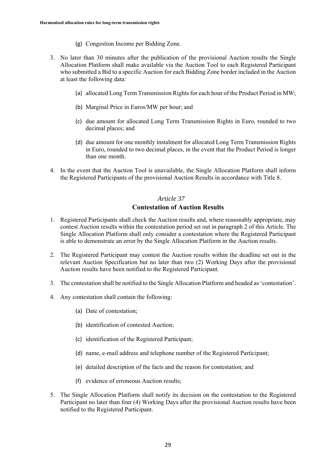- (g) Congestion Income per Bidding Zone.
- 3. No later than 30 minutes after the publication of the provisional Auction results the Single Allocation Platform shall make available via the Auction Tool to each Registered Participant who submitted a Bid to a specific Auction for each Bidding Zone border included in the Auction at least the following data:
	- (a) allocated Long Term Transmission Rights for each hour of the Product Period in MW;
	- (b) Marginal Price in Euros/MW per hour; and
	- (c) due amount for allocated Long Term Transmission Rights in Euro, rounded to two decimal places; and
	- (d) due amount for one monthly instalment for allocated Long Term Transmission Rights in Euro, rounded to two decimal places, in the event that the Product Period is longer than one month.
- 4. In the event that the Auction Tool is unavailable, the Single Allocation Platform shall inform the Registered Participants of the provisional Auction Results in accordance with Title 8.

# *Article 37* **Contestation of Auction Results**

- 1. Registered Participants shall check the Auction results and, where reasonably appropriate, may contest Auction results within the contestation period set out in paragraph 2 of this Article. The Single Allocation Platform shall only consider a contestation where the Registered Participant is able to demonstrate an error by the Single Allocation Platform in the Auction results.
- 2. The Registered Participant may contest the Auction results within the deadline set out in the relevant Auction Specification but no later than two (2) Working Days after the provisional Auction results have been notified to the Registered Participant.
- 3. The contestation shall be notified to the Single Allocation Platform and headed as 'contestation'.
- 4. Any contestation shall contain the following:
	- (a) Date of contestation;
	- (b) identification of contested Auction;
	- (c) identification of the Registered Participant;
	- (d) name, e-mail address and telephone number of the Registered Participant;
	- (e) detailed description of the facts and the reason for contestation; and
	- (f) evidence of erroneous Auction results;
- 5. The Single Allocation Platform shall notify its decision on the contestation to the Registered Participant no later than four (4) Working Days after the provisional Auction results have been notified to the Registered Participant.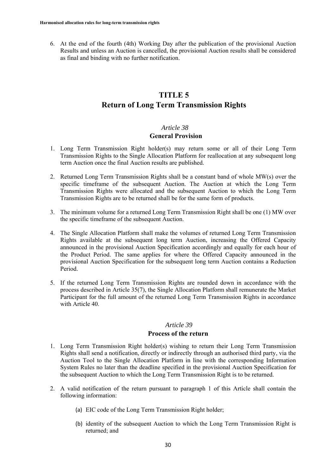6. At the end of the fourth (4th) Working Day after the publication of the provisional Auction Results and unless an Auction is cancelled, the provisional Auction results shall be considered as final and binding with no further notification.

# **TITLE 5 Return of Long Term Transmission Rights**

# *Article 38*

### **General Provision**

- 1. Long Term Transmission Right holder(s) may return some or all of their Long Term Transmission Rights to the Single Allocation Platform for reallocation at any subsequent long term Auction once the final Auction results are published.
- 2. Returned Long Term Transmission Rights shall be a constant band of whole MW(s) over the specific timeframe of the subsequent Auction. The Auction at which the Long Term Transmission Rights were allocated and the subsequent Auction to which the Long Term Transmission Rights are to be returned shall be for the same form of products.
- 3. The minimum volume for a returned Long Term Transmission Right shall be one (1) MW over the specific timeframe of the subsequent Auction.
- 4. The Single Allocation Platform shall make the volumes of returned Long Term Transmission Rights available at the subsequent long term Auction, increasing the Offered Capacity announced in the provisional Auction Specification accordingly and equally for each hour of the Product Period. The same applies for where the Offered Capacity announced in the provisional Auction Specification for the subsequent long term Auction contains a Reduction Period.
- 5. If the returned Long Term Transmission Rights are rounded down in accordance with the process described in Article 35(7), the Single Allocation Platform shall remunerate the Market Participant for the full amount of the returned Long Term Transmission Rights in accordance with Article 40.

# *Article 39*

#### **Process of the return**

- 1. Long Term Transmission Right holder(s) wishing to return their Long Term Transmission Rights shall send a notification, directly or indirectly through an authorised third party, via the Auction Tool to the Single Allocation Platform in line with the corresponding Information System Rules no later than the deadline specified in the provisional Auction Specification for the subsequent Auction to which the Long Term Transmission Right is to be returned.
- 2. A valid notification of the return pursuant to paragraph 1 of this Article shall contain the following information:
	- (a) EIC code of the Long Term Transmission Right holder;
	- (b) identity of the subsequent Auction to which the Long Term Transmission Right is returned; and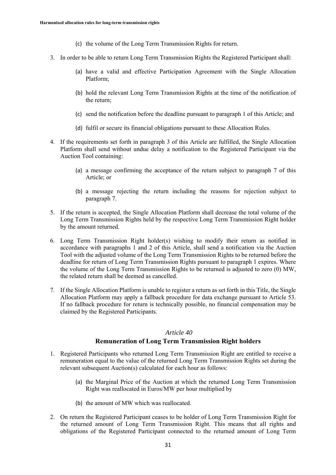- (c) the volume of the Long Term Transmission Rights for return.
- 3. In order to be able to return Long Term Transmission Rights the Registered Participant shall:
	- (a) have a valid and effective Participation Agreement with the Single Allocation Platform;
	- (b) hold the relevant Long Term Transmission Rights at the time of the notification of the return;
	- (c) send the notification before the deadline pursuant to paragraph 1 of this Article; and
	- (d) fulfil or secure its financial obligations pursuant to these Allocation Rules.
- 4. If the requirements set forth in paragraph 3 of this Article are fulfilled, the Single Allocation Platform shall send without undue delay a notification to the Registered Participant via the Auction Tool containing:
	- (a) a message confirming the acceptance of the return subject to paragraph 7 of this Article; or
	- (b) a message rejecting the return including the reasons for rejection subject to paragraph 7.
- 5. If the return is accepted, the Single Allocation Platform shall decrease the total volume of the Long Term Transmission Rights held by the respective Long Term Transmission Right holder by the amount returned.
- 6. Long Term Transmission Right holder(s) wishing to modify their return as notified in accordance with paragraphs 1 and 2 of this Article, shall send a notification via the Auction Tool with the adjusted volume of the Long Term Transmission Rights to be returned before the deadline for return of Long Term Transmission Rights pursuant to paragraph 1 expires. Where the volume of the Long Term Transmission Rights to be returned is adjusted to zero (0) MW, the related return shall be deemed as cancelled.
- 7. If the Single Allocation Platform is unable to register a return as set forth in this Title, the Single Allocation Platform may apply a fallback procedure for data exchange pursuant to Article 53. If no fallback procedure for return is technically possible, no financial compensation may be claimed by the Registered Participants.

#### **Remuneration of Long Term Transmission Right holders**

- 1. Registered Participants who returned Long Term Transmission Right are entitled to receive a remuneration equal to the value of the returned Long Term Transmission Rights set during the relevant subsequent Auction(s) calculated for each hour as follows:
	- (a) the Marginal Price of the Auction at which the returned Long Term Transmission Right was reallocated in Euros/MW per hour multiplied by
	- (b) the amount of MW which was reallocated.
- 2. On return the Registered Participant ceases to be holder of Long Term Transmission Right for the returned amount of Long Term Transmission Right. This means that all rights and obligations of the Registered Participant connected to the returned amount of Long Term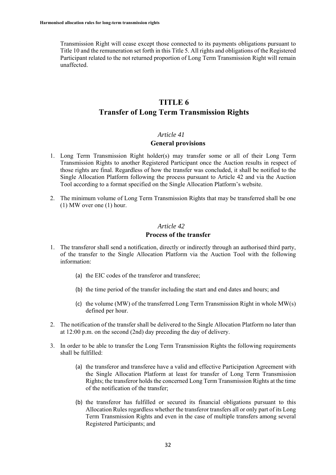Transmission Right will cease except those connected to its payments obligations pursuant to Title 10 and the remuneration set forth in this Title 5. All rights and obligations of the Registered Participant related to the not returned proportion of Long Term Transmission Right will remain unaffected.

# **TITLE 6 Transfer of Long Term Transmission Rights**

#### *Article 41*

#### **General provisions**

- 1. Long Term Transmission Right holder(s) may transfer some or all of their Long Term Transmission Rights to another Registered Participant once the Auction results in respect of those rights are final. Regardless of how the transfer was concluded, it shall be notified to the Single Allocation Platform following the process pursuant to Article 42 and via the Auction Tool according to a format specified on the Single Allocation Platform's website.
- 2. The minimum volume of Long Term Transmission Rights that may be transferred shall be one (1) MW over one (1) hour.

### *Article 42*

# **Process of the transfer**

- 1. The transferor shall send a notification, directly or indirectly through an authorised third party, of the transfer to the Single Allocation Platform via the Auction Tool with the following information:
	- (a) the EIC codes of the transferor and transferee;
	- (b) the time period of the transfer including the start and end dates and hours; and
	- (c) the volume (MW) of the transferred Long Term Transmission Right in whole MW(s) defined per hour.
- 2. The notification of the transfer shall be delivered to the Single Allocation Platform no later than at 12:00 p.m. on the second (2nd) day preceding the day of delivery.
- 3. In order to be able to transfer the Long Term Transmission Rights the following requirements shall be fulfilled:
	- (a) the transferor and transferee have a valid and effective Participation Agreement with the Single Allocation Platform at least for transfer of Long Term Transmission Rights; the transferor holds the concerned Long Term Transmission Rights at the time of the notification of the transfer;
	- (b) the transferor has fulfilled or secured its financial obligations pursuant to this Allocation Rules regardless whether the transferor transfers all or only part of its Long Term Transmission Rights and even in the case of multiple transfers among several Registered Participants; and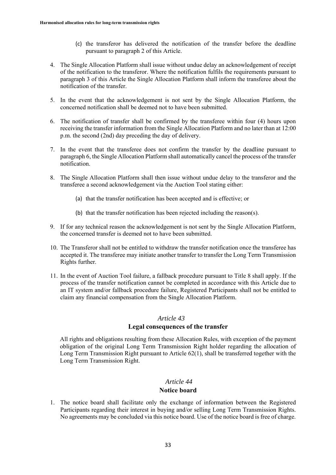- (c) the transferor has delivered the notification of the transfer before the deadline pursuant to paragraph 2 of this Article.
- 4. The Single Allocation Platform shall issue without undue delay an acknowledgement of receipt of the notification to the transferor. Where the notification fulfils the requirements pursuant to paragraph 3 of this Article the Single Allocation Platform shall inform the transferee about the notification of the transfer.
- 5. In the event that the acknowledgement is not sent by the Single Allocation Platform, the concerned notification shall be deemed not to have been submitted.
- 6. The notification of transfer shall be confirmed by the transferee within four (4) hours upon receiving the transfer information from the Single Allocation Platform and no later than at 12:00 p.m. the second (2nd) day preceding the day of delivery.
- 7. In the event that the transferee does not confirm the transfer by the deadline pursuant to paragraph 6, the Single Allocation Platform shall automatically cancel the process of the transfer notification.
- 8. The Single Allocation Platform shall then issue without undue delay to the transferor and the transferee a second acknowledgement via the Auction Tool stating either:
	- (a) that the transfer notification has been accepted and is effective; or
	- (b) that the transfer notification has been rejected including the reason(s).
- 9. If for any technical reason the acknowledgement is not sent by the Single Allocation Platform, the concerned transfer is deemed not to have been submitted.
- 10. The Transferor shall not be entitled to withdraw the transfer notification once the transferee has accepted it. The transferee may initiate another transfer to transfer the Long Term Transmission Rights further.
- 11. In the event of Auction Tool failure, a fallback procedure pursuant to Title 8 shall apply. If the process of the transfer notification cannot be completed in accordance with this Article due to an IT system and/or fallback procedure failure, Registered Participants shall not be entitled to claim any financial compensation from the Single Allocation Platform.

#### **Legal consequences of the transfer**

All rights and obligations resulting from these Allocation Rules, with exception of the payment obligation of the original Long Term Transmission Right holder regarding the allocation of Long Term Transmission Right pursuant to Article 62(1), shall be transferred together with the Long Term Transmission Right.

# *Article 44*

#### **Notice board**

1. The notice board shall facilitate only the exchange of information between the Registered Participants regarding their interest in buying and/or selling Long Term Transmission Rights. No agreements may be concluded via this notice board. Use of the notice board is free of charge.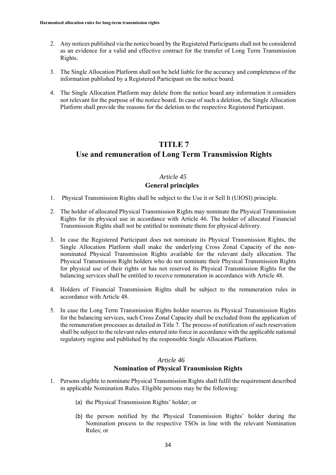- 2. Any notices published via the notice board by the Registered Participants shall not be considered as an evidence for a valid and effective contract for the transfer of Long Term Transmission Rights.
- 3. The Single Allocation Platform shall not be held liable for the accuracy and completeness of the information published by a Registered Participant on the notice board.
- 4. The Single Allocation Platform may delete from the notice board any information it considers not relevant for the purpose of the notice board. In case of such a deletion, the Single Allocation Platform shall provide the reasons for the deletion to the respective Registered Participant.

# **TITLE 7 Use and remuneration of Long Term Transmission Rights**

# *Article 45*

# **General principles**

- 1. Physical Transmission Rights shall be subject to the Use it or Sell It (UIOSI) principle.
- 2. The holder of allocated Physical Transmission Rights may nominate the Physical Transmission Rights for its physical use in accordance with Article 46. The holder of allocated Financial Transmission Rights shall not be entitled to nominate them for physical delivery.
- 3. In case the Registered Participant does not nominate its Physical Transmission Rights, the Single Allocation Platform shall make the underlying Cross Zonal Capacity of the nonnominated Physical Transmission Rights available for the relevant daily allocation. The Physical Transmission Right holders who do not nominate their Physical Transmission Rights for physical use of their rights or has not reserved its Physical Transmission Rights for the balancing services shall be entitled to receive remuneration in accordance with Article 48.
- 4. Holders of Financial Transmission Rights shall be subject to the remuneration rules in accordance with Article 48.
- 5. In case the Long Term Transmission Rights holder reserves its Physical Transmission Rights for the balancing services, such Cross Zonal Capacity shall be excluded from the application of the remuneration processes as detailed in Title 7. The process of notification of such reservation shall be subject to the relevant rules entered into force in accordance with the applicable national regulatory regime and published by the responsible Single Allocation Platform.

# *Article 46* **Nomination of Physical Transmission Rights**

- 1. Persons eligible to nominate Physical Transmission Rights shall fulfil the requirement described in applicable Nomination Rules. Eligible persons may be the following:
	- (a) the Physical Transmission Rights' holder; or
	- (b) the person notified by the Physical Transmission Rights' holder during the Nomination process to the respective TSOs in line with the relevant Nomination Rules; or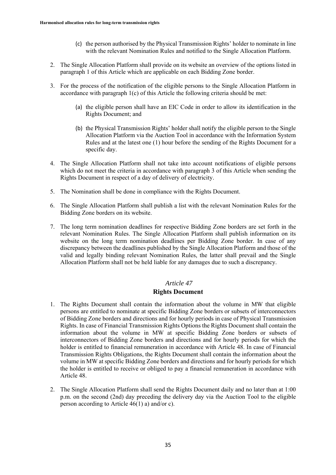- (c) the person authorised by the Physical Transmission Rights' holder to nominate in line with the relevant Nomination Rules and notified to the Single Allocation Platform.
- 2. The Single Allocation Platform shall provide on its website an overview of the options listed in paragraph 1 of this Article which are applicable on each Bidding Zone border.
- 3. For the process of the notification of the eligible persons to the Single Allocation Platform in accordance with paragraph 1(c) of this Article the following criteria should be met:
	- (a) the eligible person shall have an EIC Code in order to allow its identification in the Rights Document; and
	- (b) the Physical Transmission Rights' holder shall notify the eligible person to the Single Allocation Platform via the Auction Tool in accordance with the Information System Rules and at the latest one (1) hour before the sending of the Rights Document for a specific day.
- 4. The Single Allocation Platform shall not take into account notifications of eligible persons which do not meet the criteria in accordance with paragraph 3 of this Article when sending the Rights Document in respect of a day of delivery of electricity.
- 5. The Nomination shall be done in compliance with the Rights Document.
- 6. The Single Allocation Platform shall publish a list with the relevant Nomination Rules for the Bidding Zone borders on its website.
- 7. The long term nomination deadlines for respective Bidding Zone borders are set forth in the relevant Nomination Rules. The Single Allocation Platform shall publish information on its website on the long term nomination deadlines per Bidding Zone border. In case of any discrepancy between the deadlines published by the Single Allocation Platform and those of the valid and legally binding relevant Nomination Rules, the latter shall prevail and the Single Allocation Platform shall not be held liable for any damages due to such a discrepancy.

#### **Rights Document**

- 1. The Rights Document shall contain the information about the volume in MW that eligible persons are entitled to nominate at specific Bidding Zone borders or subsets of interconnectors of Bidding Zone borders and directions and for hourly periods in case of Physical Transmission Rights. In case of Financial Transmission Rights Options the Rights Document shall contain the information about the volume in MW at specific Bidding Zone borders or subsets of interconnectors of Bidding Zone borders and directions and for hourly periods for which the holder is entitled to financial remuneration in accordance with Article 48. In case of Financial Transmission Rights Obligations, the Rights Document shall contain the information about the volume in MW at specific Bidding Zone borders and directions and for hourly periods for which the holder is entitled to receive or obliged to pay a financial remuneration in accordance with Article 48.
- 2. The Single Allocation Platform shall send the Rights Document daily and no later than at 1:00 p.m. on the second (2nd) day preceding the delivery day via the Auction Tool to the eligible person according to Article 46(1) a) and/or c).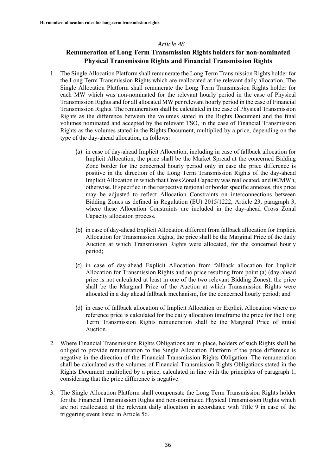# **Remuneration of Long Term Transmission Rights holders for non-nominated Physical Transmission Rights and Financial Transmission Rights**

- 1. The Single Allocation Platform shall remunerate the Long Term Transmission Rights holder for the Long Term Transmission Rights which are reallocated at the relevant daily allocation. The Single Allocation Platform shall remunerate the Long Term Transmission Rights holder for each MW which was non-nominated for the relevant hourly period in the case of Physical Transmission Rights and for all allocated MW per relevant hourly period in the case of Financial Transmission Rights. The remuneration shall be calculated in the case of Physical Transmission Rights as the difference between the volumes stated in the Rights Document and the final volumes nominated and accepted by the relevant TSO, in the case of Financial Transmission Rights as the volumes stated in the Rights Document, multiplied by a price, depending on the type of the day-ahead allocation, as follows:
	- (a) in case of day-ahead Implicit Allocation, including in case of fallback allocation for Implicit Allocation, the price shall be the Market Spread at the concerned Bidding Zone border for the concerned hourly period only in case the price difference is positive in the direction of the Long Term Transmission Rights of the day-ahead Implicit Allocation in which that Cross Zonal Capacity was reallocated, and 0€/MWh, otherwise. If specified in the respective regional or border specific annexes, this price may be adjusted to reflect Allocation Constraints on interconnections between Bidding Zones as defined in Regulation (EU) 2015/1222, Article 23, paragraph 3, where these Allocation Constraints are included in the day-ahead Cross Zonal Capacity allocation process.
	- (b) in case of day-ahead Explicit Allocation different from fallback allocation for Implicit Allocation for Transmission Rights, the price shall be the Marginal Price of the daily Auction at which Transmission Rights were allocated, for the concerned hourly period;
	- (c) in case of day-ahead Explicit Allocation from fallback allocation for Implicit Allocation for Transmission Rights and no price resulting from point (a) (day-ahead price is not calculated at least in one of the two relevant Bidding Zones), the price shall be the Marginal Price of the Auction at which Transmission Rights were allocated in a day ahead fallback mechanism, for the concerned hourly period; and
	- (d) in case of fallback allocation of Implicit Allocation or Explicit Allocation where no reference price is calculated for the daily allocation timeframe the price for the Long Term Transmission Rights remuneration shall be the Marginal Price of initial Auction.
- 2. Where Financial Transmission Rights Obligations are in place, holders of such Rights shall be obliged to provide remuneration to the Single Allocation Platform if the price difference is negative in the direction of the Financial Transmission Rights Obligation. The remuneration shall be calculated as the volumes of Financial Transmission Rights Obligations stated in the Rights Document multiplied by a price, calculated in line with the principles of paragraph 1, considering that the price difference is negative.
- 3. The Single Allocation Platform shall compensate the Long Term Transmission Rights holder for the Financial Transmission Rights and non-nominated Physical Transmission Rights which are not reallocated at the relevant daily allocation in accordance with Title 9 in case of the triggering event listed in Article 56.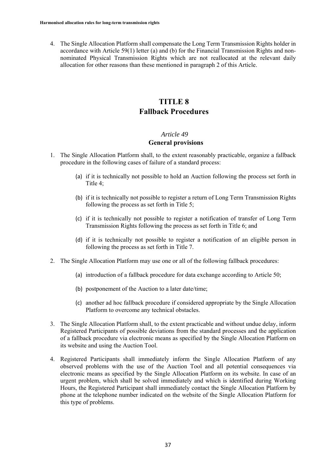4. The Single Allocation Platform shall compensate the Long Term Transmission Rights holder in accordance with Article 59(1) letter (a) and (b) for the Financial Transmission Rights and nonnominated Physical Transmission Rights which are not reallocated at the relevant daily allocation for other reasons than these mentioned in paragraph 2 of this Article.

# **TITLE 8 Fallback Procedures**

# *Article 49*

# **General provisions**

- 1. The Single Allocation Platform shall, to the extent reasonably practicable, organize a fallback procedure in the following cases of failure of a standard process:
	- (a) if it is technically not possible to hold an Auction following the process set forth in Title 4;
	- (b) if it is technically not possible to register a return of Long Term Transmission Rights following the process as set forth in Title 5;
	- (c) if it is technically not possible to register a notification of transfer of Long Term Transmission Rights following the process as set forth in Title 6; and
	- (d) if it is technically not possible to register a notification of an eligible person in following the process as set forth in Title 7.
- 2. The Single Allocation Platform may use one or all of the following fallback procedures:
	- (a) introduction of a fallback procedure for data exchange according to Article 50;
	- (b) postponement of the Auction to a later date/time;
	- (c) another ad hoc fallback procedure if considered appropriate by the Single Allocation Platform to overcome any technical obstacles.
- 3. The Single Allocation Platform shall, to the extent practicable and without undue delay, inform Registered Participants of possible deviations from the standard processes and the application of a fallback procedure via electronic means as specified by the Single Allocation Platform on its website and using the Auction Tool.
- 4. Registered Participants shall immediately inform the Single Allocation Platform of any observed problems with the use of the Auction Tool and all potential consequences via electronic means as specified by the Single Allocation Platform on its website. In case of an urgent problem, which shall be solved immediately and which is identified during Working Hours, the Registered Participant shall immediately contact the Single Allocation Platform by phone at the telephone number indicated on the website of the Single Allocation Platform for this type of problems.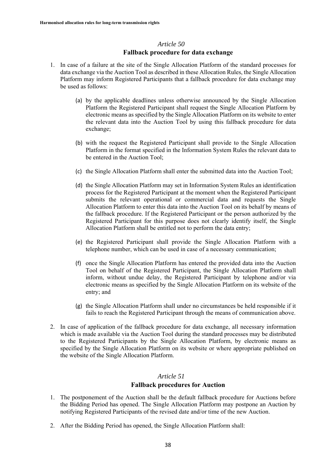# *Article 50* **Fallback procedure for data exchange**

- 1. In case of a failure at the site of the Single Allocation Platform of the standard processes for data exchange via the Auction Tool as described in these Allocation Rules, the Single Allocation Platform may inform Registered Participants that a fallback procedure for data exchange may be used as follows:
	- (a) by the applicable deadlines unless otherwise announced by the Single Allocation Platform the Registered Participant shall request the Single Allocation Platform by electronic means as specified by the Single Allocation Platform on its website to enter the relevant data into the Auction Tool by using this fallback procedure for data exchange;
	- (b) with the request the Registered Participant shall provide to the Single Allocation Platform in the format specified in the Information System Rules the relevant data to be entered in the Auction Tool;
	- (c) the Single Allocation Platform shall enter the submitted data into the Auction Tool;
	- (d) the Single Allocation Platform may set in Information System Rules an identification process for the Registered Participant at the moment when the Registered Participant submits the relevant operational or commercial data and requests the Single Allocation Platform to enter this data into the Auction Tool on its behalf by means of the fallback procedure. If the Registered Participant or the person authorized by the Registered Participant for this purpose does not clearly identify itself, the Single Allocation Platform shall be entitled not to perform the data entry;
	- (e) the Registered Participant shall provide the Single Allocation Platform with a telephone number, which can be used in case of a necessary communication;
	- (f) once the Single Allocation Platform has entered the provided data into the Auction Tool on behalf of the Registered Participant, the Single Allocation Platform shall inform, without undue delay, the Registered Participant by telephone and/or via electronic means as specified by the Single Allocation Platform on its website of the entry; and
	- (g) the Single Allocation Platform shall under no circumstances be held responsible if it fails to reach the Registered Participant through the means of communication above.
- 2. In case of application of the fallback procedure for data exchange, all necessary information which is made available via the Auction Tool during the standard processes may be distributed to the Registered Participants by the Single Allocation Platform, by electronic means as specified by the Single Allocation Platform on its website or where appropriate published on the website of the Single Allocation Platform.

# *Article 51*

#### **Fallback procedures for Auction**

- 1. The postponement of the Auction shall be the default fallback procedure for Auctions before the Bidding Period has opened. The Single Allocation Platform may postpone an Auction by notifying Registered Participants of the revised date and/or time of the new Auction.
- 2. After the Bidding Period has opened, the Single Allocation Platform shall: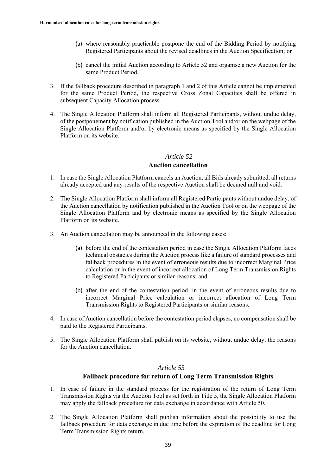- (a) where reasonably practicable postpone the end of the Bidding Period by notifying Registered Participants about the revised deadlines in the Auction Specification; or
- (b) cancel the initial Auction according to Article 52 and organise a new Auction for the same Product Period.
- 3. If the fallback procedure described in paragraph 1 and 2 of this Article cannot be implemented for the same Product Period, the respective Cross Zonal Capacities shall be offered in subsequent Capacity Allocation process.
- 4. The Single Allocation Platform shall inform all Registered Participants, without undue delay, of the postponement by notification published in the Auction Tool and/or on the webpage of the Single Allocation Platform and/or by electronic means as specified by the Single Allocation Platform on its website.

### **Auction cancellation**

- 1. In case the Single Allocation Platform cancels an Auction, all Bids already submitted, all returns already accepted and any results of the respective Auction shall be deemed null and void.
- 2. The Single Allocation Platform shall inform all Registered Participants without undue delay, of the Auction cancellation by notification published in the Auction Tool or on the webpage of the Single Allocation Platform and by electronic means as specified by the Single Allocation Platform on its website.
- 3. An Auction cancellation may be announced in the following cases:
	- (a) before the end of the contestation period in case the Single Allocation Platform faces technical obstacles during the Auction process like a failure of standard processes and fallback procedures in the event of erroneous results due to incorrect Marginal Price calculation or in the event of incorrect allocation of Long Term Transmission Rights to Registered Participants or similar reasons; and
	- (b) after the end of the contestation period, in the event of erroneous results due to incorrect Marginal Price calculation or incorrect allocation of Long Term Transmission Rights to Registered Participants or similar reasons.
- 4. In case of Auction cancellation before the contestation period elapses, no compensation shall be paid to the Registered Participants.
- 5. The Single Allocation Platform shall publish on its website, without undue delay, the reasons for the Auction cancellation.

# *Article 53*

#### **Fallback procedure for return of Long Term Transmission Rights**

- 1. In case of failure in the standard process for the registration of the return of Long Term Transmission Rights via the Auction Tool as set forth in Title 5, the Single Allocation Platform may apply the fallback procedure for data exchange in accordance with Article 50.
- 2. The Single Allocation Platform shall publish information about the possibility to use the fallback procedure for data exchange in due time before the expiration of the deadline for Long Term Transmission Rights return.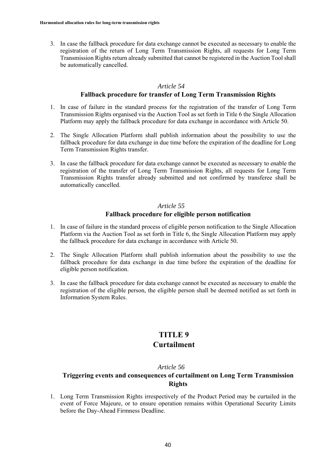3. In case the fallback procedure for data exchange cannot be executed as necessary to enable the registration of the return of Long Term Transmission Rights, all requests for Long Term Transmission Rights return already submitted that cannot be registered in the Auction Tool shall be automatically cancelled.

# *Article 54*

### **Fallback procedure for transfer of Long Term Transmission Rights**

- 1. In case of failure in the standard process for the registration of the transfer of Long Term Transmission Rights organised via the Auction Tool as set forth in Title 6 the Single Allocation Platform may apply the fallback procedure for data exchange in accordance with Article 50.
- 2. The Single Allocation Platform shall publish information about the possibility to use the fallback procedure for data exchange in due time before the expiration of the deadline for Long Term Transmission Rights transfer.
- 3. In case the fallback procedure for data exchange cannot be executed as necessary to enable the registration of the transfer of Long Term Transmission Rights, all requests for Long Term Transmission Rights transfer already submitted and not confirmed by transferee shall be automatically cancelled.

# *Article 55*

# **Fallback procedure for eligible person notification**

- 1. In case of failure in the standard process of eligible person notification to the Single Allocation Platform via the Auction Tool as set forth in Title 6, the Single Allocation Platform may apply the fallback procedure for data exchange in accordance with Article 50.
- 2. The Single Allocation Platform shall publish information about the possibility to use the fallback procedure for data exchange in due time before the expiration of the deadline for eligible person notification.
- 3. In case the fallback procedure for data exchange cannot be executed as necessary to enable the registration of the eligible person, the eligible person shall be deemed notified as set forth in Information System Rules.

# **TITLE 9**

# **Curtailment**

# *Article 56*

# **Triggering events and consequences of curtailment on Long Term Transmission Rights**

1. Long Term Transmission Rights irrespectively of the Product Period may be curtailed in the event of Force Majeure, or to ensure operation remains within Operational Security Limits before the Day-Ahead Firmness Deadline.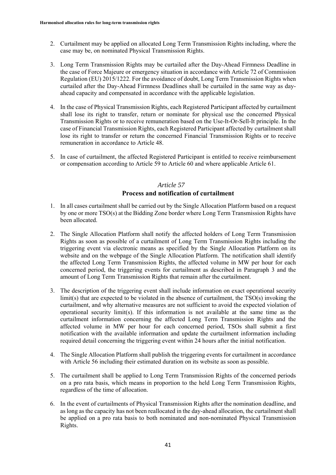- 2. Curtailment may be applied on allocated Long Term Transmission Rights including, where the case may be, on nominated Physical Transmission Rights.
- 3. Long Term Transmission Rights may be curtailed after the Day-Ahead Firmness Deadline in the case of Force Majeure or emergency situation in accordance with Article 72 of Commission Regulation (EU) 2015/1222. For the avoidance of doubt, Long Term Transmission Rights when curtailed after the Day-Ahead Firmness Deadlines shall be curtailed in the same way as dayahead capacity and compensated in accordance with the applicable legislation.
- 4. In the case of Physical Transmission Rights, each Registered Participant affected by curtailment shall lose its right to transfer, return or nominate for physical use the concerned Physical Transmission Rights or to receive remuneration based on the Use-It-Or-Sell-It principle. In the case of Financial Transmission Rights, each Registered Participant affected by curtailment shall lose its right to transfer or return the concerned Financial Transmission Rights or to receive remuneration in accordance to Article 48.
- 5. In case of curtailment, the affected Registered Participant is entitled to receive reimbursement or compensation according to Article 59 to Article 60 and where applicable Article 61.

# *Article 57* **Process and notification of curtailment**

- 1. In all cases curtailment shall be carried out by the Single Allocation Platform based on a request by one or more TSO(s) at the Bidding Zone border where Long Term Transmission Rights have been allocated.
- 2. The Single Allocation Platform shall notify the affected holders of Long Term Transmission Rights as soon as possible of a curtailment of Long Term Transmission Rights including the triggering event via electronic means as specified by the Single Allocation Platform on its website and on the webpage of the Single Allocation Platform. The notification shall identify the affected Long Term Transmission Rights, the affected volume in MW per hour for each concerned period, the triggering events for curtailment as described in Paragraph 3 and the amount of Long Term Transmission Rights that remain after the curtailment.
- 3. The description of the triggering event shall include information on exact operational security  $limit(s)$  that are expected to be violated in the absence of curtailment, the  $TSO(s)$  invoking the curtailment, and why alternative measures are not sufficient to avoid the expected violation of operational security limit(s). If this information is not available at the same time as the curtailment information concerning the affected Long Term Transmission Rights and the affected volume in MW per hour for each concerned period, TSOs shall submit a first notification with the available information and update the curtailment information including required detail concerning the triggering event within 24 hours after the initial notification.
- 4. The Single Allocation Platform shall publish the triggering events for curtailment in accordance with Article 56 including their estimated duration on its website as soon as possible.
- 5. The curtailment shall be applied to Long Term Transmission Rights of the concerned periods on a pro rata basis, which means in proportion to the held Long Term Transmission Rights, regardless of the time of allocation.
- 6. In the event of curtailments of Physical Transmission Rights after the nomination deadline, and as long as the capacity has not been reallocated in the day-ahead allocation, the curtailment shall be applied on a pro rata basis to both nominated and non-nominated Physical Transmission Rights.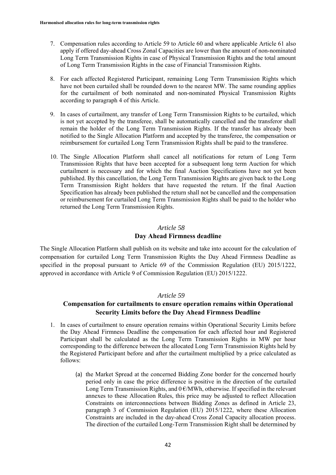- 7. Compensation rules according to Article 59 to Article 60 and where applicable Article 61 also apply if offered day-ahead Cross Zonal Capacities are lower than the amount of non-nominated Long Term Transmission Rights in case of Physical Transmission Rights and the total amount of Long Term Transmission Rights in the case of Financial Transmission Rights.
- 8. For each affected Registered Participant, remaining Long Term Transmission Rights which have not been curtailed shall be rounded down to the nearest MW. The same rounding applies for the curtailment of both nominated and non-nominated Physical Transmission Rights according to paragraph 4 of this Article.
- 9. In cases of curtailment, any transfer of Long Term Transmission Rights to be curtailed, which is not yet accepted by the transferee, shall be automatically cancelled and the transferor shall remain the holder of the Long Term Transmission Rights. If the transfer has already been notified to the Single Allocation Platform and accepted by the transferee, the compensation or reimbursement for curtailed Long Term Transmission Rights shall be paid to the transferee.
- 10. The Single Allocation Platform shall cancel all notifications for return of Long Term Transmission Rights that have been accepted for a subsequent long term Auction for which curtailment is necessary and for which the final Auction Specifications have not yet been published. By this cancellation, the Long Term Transmission Rights are given back to the Long Term Transmission Right holders that have requested the return. If the final Auction Specification has already been published the return shall not be cancelled and the compensation or reimbursement for curtailed Long Term Transmission Rights shall be paid to the holder who returned the Long Term Transmission Rights.

#### **Day Ahead Firmness deadline**

The Single Allocation Platform shall publish on its website and take into account for the calculation of compensation for curtailed Long Term Transmission Rights the Day Ahead Firmness Deadline as specified in the proposal pursuant to Article 69 of the Commission Regulation (EU) 2015/1222, approved in accordance with Article 9 of Commission Regulation (EU) 2015/1222.

## *Article 59*

# **Compensation for curtailments to ensure operation remains within Operational Security Limits before the Day Ahead Firmness Deadline**

- 1. In cases of curtailment to ensure operation remains within Operational Security Limits before the Day Ahead Firmness Deadline the compensation for each affected hour and Registered Participant shall be calculated as the Long Term Transmission Rights in MW per hour corresponding to the difference between the allocated Long Term Transmission Rights held by the Registered Participant before and after the curtailment multiplied by a price calculated as follows:
	- (a) the Market Spread at the concerned Bidding Zone border for the concerned hourly period only in case the price difference is positive in the direction of the curtailed Long Term Transmission Rights, and  $0 \in MWh$ , otherwise. If specified in the relevant annexes to these Allocation Rules, this price may be adjusted to reflect Allocation Constraints on interconnections between Bidding Zones as defined in Article 23, paragraph 3 of Commission Regulation (EU) 2015/1222, where these Allocation Constraints are included in the day-ahead Cross Zonal Capacity allocation process. The direction of the curtailed Long-Term Transmission Right shall be determined by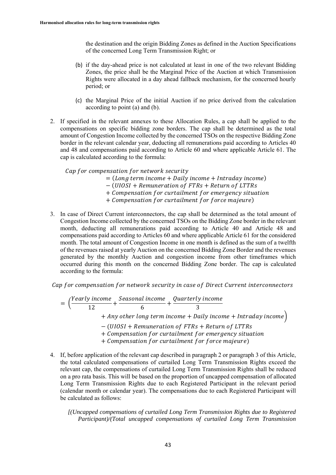the destination and the origin Bidding Zones as defined in the Auction Specifications of the concerned Long Term Transmission Right; or

- (b) if the day-ahead price is not calculated at least in one of the two relevant Bidding Zones, the price shall be the Marginal Price of the Auction at which Transmission Rights were allocated in a day ahead fallback mechanism, for the concerned hourly period; or
- (c) the Marginal Price of the initial Auction if no price derived from the calculation according to point (a) and (b).
- 2. If specified in the relevant annexes to these Allocation Rules, a cap shall be applied to the compensations on specific bidding zone borders. The cap shall be determined as the total amount of Congestion Income collected by the concerned TSOs on the respective Bidding Zone border in the relevant calendar year, deducting all remunerations paid according to Articles 40 and 48 and compensations paid according to Article 60 and where applicable Article 61. The cap is calculated according to the formula:

Cap for compensation for network security

- $=$  (Long term income  $+$  Daily income  $+$  Intraday income)
- (UIOSI + Remuneration of FTRs + Return of LTTRs
- + Compensation for curtailment for emergency situation
- + Compensation for curtailment for force majeure)
- 3. In case of Direct Current interconnectors, the cap shall be determined as the total amount of Congestion Income collected by the concerned TSOs on the Bidding Zone border in the relevant month, deducting all remunerations paid according to Article 40 and Article 48 and compensations paid according to Articles 60 and where applicable Article 61 for the considered month. The total amount of Congestion Income in one month is defined as the sum of a twelfth of the revenues raised at yearly Auction on the concerned Bidding Zone Border and the revenues generated by the monthly Auction and congestion income from other timeframes which occurred during this month on the concerned Bidding Zone border. The cap is calculated according to the formula:

Cap for compensation for network security in case of Direct Current interconnectors

$$
= \left(\frac{Yearly\ income}{12} + \frac{Seasonal\ income}{6} + \frac{Quarterly\ income}{3} + Any\ other\ long\ term\ income + Daily\ income + Intraday\ income\right) - (UIOSI + Remuneration\ of\ FTRs + Return\ of\ LTTRs + Compensation\ for\ curtailment\ for\ emergeacy situation + Compensation\ for\ curtailment\ for\ force\ major\
$$

4. If, before application of the relevant cap described in paragraph 2 or paragraph 3 of this Article, the total calculated compensations of curtailed Long Term Transmission Rights exceed the relevant cap, the compensations of curtailed Long Term Transmission Rights shall be reduced on a pro rata basis. This will be based on the proportion of uncapped compensation of allocated Long Term Transmission Rights due to each Registered Participant in the relevant period (calendar month or calendar year). The compensations due to each Registered Participant will be calculated as follows:

*[(Uncapped compensations of curtailed Long Term Transmission Rights due to Registered Participant)/(Total uncapped compensations of curtailed Long Term Transmission*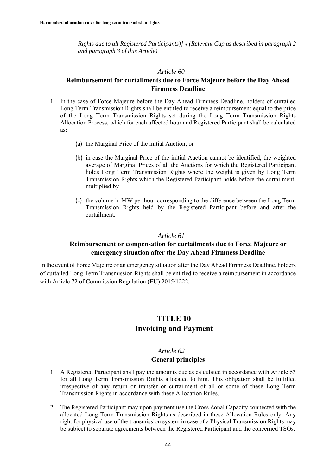*Rights due to all Registered Participants)] x (Relevant Cap as described in paragraph 2 and paragraph 3 of this Article)* 

#### *Article 60*

# **Reimbursement for curtailments due to Force Majeure before the Day Ahead Firmness Deadline**

- 1. In the case of Force Majeure before the Day Ahead Firmness Deadline, holders of curtailed Long Term Transmission Rights shall be entitled to receive a reimbursement equal to the price of the Long Term Transmission Rights set during the Long Term Transmission Rights Allocation Process, which for each affected hour and Registered Participant shall be calculated as:
	- (a) the Marginal Price of the initial Auction; or
	- (b) in case the Marginal Price of the initial Auction cannot be identified, the weighted average of Marginal Prices of all the Auctions for which the Registered Participant holds Long Term Transmission Rights where the weight is given by Long Term Transmission Rights which the Registered Participant holds before the curtailment; multiplied by
	- (c) the volume in MW per hour corresponding to the difference between the Long Term Transmission Rights held by the Registered Participant before and after the curtailment.

#### *Article 61*

# **Reimbursement or compensation for curtailments due to Force Majeure or emergency situation after the Day Ahead Firmness Deadline**

In the event of Force Majeure or an emergency situation after the Day Ahead Firmness Deadline, holders of curtailed Long Term Transmission Rights shall be entitled to receive a reimbursement in accordance with Article 72 of Commission Regulation (EU) 2015/1222.

# **TITLE 10 Invoicing and Payment**

# *Article 62* **General principles**

- 1. A Registered Participant shall pay the amounts due as calculated in accordance with Article 63 for all Long Term Transmission Rights allocated to him. This obligation shall be fulfilled irrespective of any return or transfer or curtailment of all or some of these Long Term Transmission Rights in accordance with these Allocation Rules.
- 2. The Registered Participant may upon payment use the Cross Zonal Capacity connected with the allocated Long Term Transmission Rights as described in these Allocation Rules only. Any right for physical use of the transmission system in case of a Physical Transmission Rights may be subject to separate agreements between the Registered Participant and the concerned TSOs.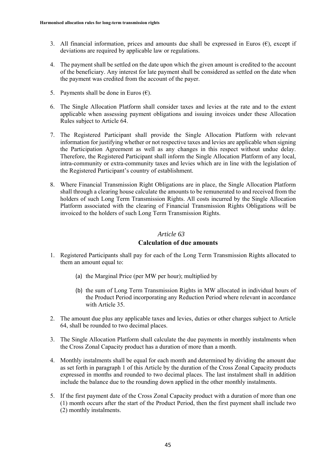- 3. All financial information, prices and amounts due shall be expressed in Euros  $(\epsilon)$ , except if deviations are required by applicable law or regulations.
- 4. The payment shall be settled on the date upon which the given amount is credited to the account of the beneficiary. Any interest for late payment shall be considered as settled on the date when the payment was credited from the account of the payer.
- 5. Payments shall be done in Euros  $(\epsilon)$ .
- 6. The Single Allocation Platform shall consider taxes and levies at the rate and to the extent applicable when assessing payment obligations and issuing invoices under these Allocation Rules subject to Article 64.
- 7. The Registered Participant shall provide the Single Allocation Platform with relevant information for justifying whether or not respective taxes and levies are applicable when signing the Participation Agreement as well as any changes in this respect without undue delay. Therefore, the Registered Participant shall inform the Single Allocation Platform of any local, intra-community or extra-community taxes and levies which are in line with the legislation of the Registered Participant's country of establishment.
- 8. Where Financial Transmission Right Obligations are in place, the Single Allocation Platform shall through a clearing house calculate the amounts to be remunerated to and received from the holders of such Long Term Transmission Rights. All costs incurred by the Single Allocation Platform associated with the clearing of Financial Transmission Rights Obligations will be invoiced to the holders of such Long Term Transmission Rights.

#### **Calculation of due amounts**

- 1. Registered Participants shall pay for each of the Long Term Transmission Rights allocated to them an amount equal to:
	- (a) the Marginal Price (per MW per hour); multiplied by
	- (b) the sum of Long Term Transmission Rights in MW allocated in individual hours of the Product Period incorporating any Reduction Period where relevant in accordance with Article 35.
- 2. The amount due plus any applicable taxes and levies, duties or other charges subject to Article 64, shall be rounded to two decimal places.
- 3. The Single Allocation Platform shall calculate the due payments in monthly instalments when the Cross Zonal Capacity product has a duration of more than a month.
- 4. Monthly instalments shall be equal for each month and determined by dividing the amount due as set forth in paragraph 1 of this Article by the duration of the Cross Zonal Capacity products expressed in months and rounded to two decimal places. The last instalment shall in addition include the balance due to the rounding down applied in the other monthly instalments.
- 5. If the first payment date of the Cross Zonal Capacity product with a duration of more than one (1) month occurs after the start of the Product Period, then the first payment shall include two (2) monthly instalments.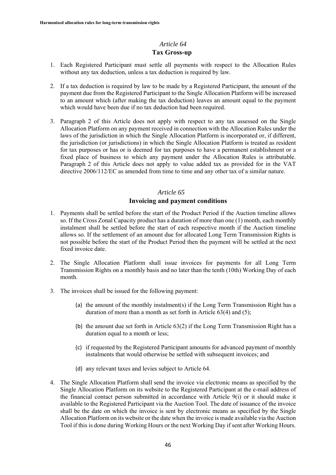# **Tax Gross-up**

- 1. Each Registered Participant must settle all payments with respect to the Allocation Rules without any tax deduction, unless a tax deduction is required by law.
- 2. If a tax deduction is required by law to be made by a Registered Participant, the amount of the payment due from the Registered Participant to the Single Allocation Platform will be increased to an amount which (after making the tax deduction) leaves an amount equal to the payment which would have been due if no tax deduction had been required.
- 3. Paragraph 2 of this Article does not apply with respect to any tax assessed on the Single Allocation Platform on any payment received in connection with the Allocation Rules under the laws of the jurisdiction in which the Single Allocation Platform is incorporated or, if different, the jurisdiction (or jurisdictions) in which the Single Allocation Platform is treated as resident for tax purposes or has or is deemed for tax purposes to have a permanent establishment or a fixed place of business to which any payment under the Allocation Rules is attributable. Paragraph 2 of this Article does not apply to value added tax as provided for in the VAT directive 2006/112/EC as amended from time to time and any other tax of a similar nature.

# *Article 65*

# **Invoicing and payment conditions**

- 1. Payments shall be settled before the start of the Product Period if the Auction timeline allows so. If the Cross Zonal Capacity product has a duration of more than one (1) month, each monthly instalment shall be settled before the start of each respective month if the Auction timeline allows so. If the settlement of an amount due for allocated Long Term Transmission Rights is not possible before the start of the Product Period then the payment will be settled at the next fixed invoice date.
- 2. The Single Allocation Platform shall issue invoices for payments for all Long Term Transmission Rights on a monthly basis and no later than the tenth (10th) Working Day of each month.
- 3. The invoices shall be issued for the following payment:
	- (a) the amount of the monthly instalment(s) if the Long Term Transmission Right has a duration of more than a month as set forth in Article 63(4) and (5);
	- (b) the amount due set forth in Article 63(2) if the Long Term Transmission Right has a duration equal to a month or less;
	- (c) if requested by the Registered Participant amounts for advanced payment of monthly instalments that would otherwise be settled with subsequent invoices; and
	- (d) any relevant taxes and levies subject to Article 64.
- 4. The Single Allocation Platform shall send the invoice via electronic means as specified by the Single Allocation Platform on its website to the Registered Participant at the e-mail address of the financial contact person submitted in accordance with Article  $9(i)$  or it should make it available to the Registered Participant via the Auction Tool. The date of issuance of the invoice shall be the date on which the invoice is sent by electronic means as specified by the Single Allocation Platform on its website or the date when the invoice is made available via the Auction Tool if this is done during Working Hours or the next Working Day if sent after Working Hours.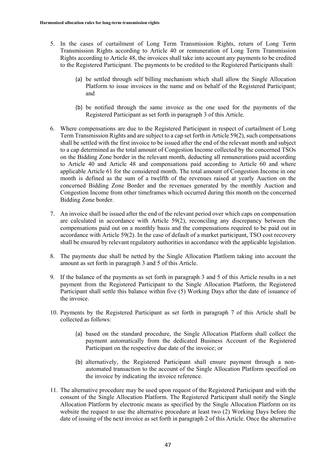- 5. In the cases of curtailment of Long Term Transmission Rights, return of Long Term Transmission Rights according to Article 40 or remuneration of Long Term Transmission Rights according to Article 48, the invoices shall take into account any payments to be credited to the Registered Participant. The payments to be credited to the Registered Participants shall:
	- (a) be settled through self billing mechanism which shall allow the Single Allocation Platform to issue invoices in the name and on behalf of the Registered Participant; and
	- (b) be notified through the same invoice as the one used for the payments of the Registered Participant as set forth in paragraph 3 of this Article.
- 6. Where compensations are due to the Registered Participant in respect of curtailment of Long Term Transmission Rights and are subject to a cap set forth in Article 59(2), such compensations shall be settled with the first invoice to be issued after the end of the relevant month and subject to a cap determined as the total amount of Congestion Income collected by the concerned TSOs on the Bidding Zone border in the relevant month, deducting all remunerations paid according to Article 40 and Article 48 and compensations paid according to Article 60 and where applicable Article 61 for the considered month. The total amount of Congestion Income in one month is defined as the sum of a twelfth of the revenues raised at yearly Auction on the concerned Bidding Zone Border and the revenues generated by the monthly Auction and Congestion Income from other timeframes which occurred during this month on the concerned Bidding Zone border.
- 7. An invoice shall be issued after the end of the relevant period over which caps on compensation are calculated in accordance with Article 59(2), reconciling any discrepancy between the compensations paid out on a monthly basis and the compensations required to be paid out in accordance with Article 59(2). In the case of default of a market participant, TSO cost recovery shall be ensured by relevant regulatory authorities in accordance with the applicable legislation.
- 8. The payments due shall be netted by the Single Allocation Platform taking into account the amount as set forth in paragraph 3 and 5 of this Article.
- 9. If the balance of the payments as set forth in paragraph 3 and 5 of this Article results in a net payment from the Registered Participant to the Single Allocation Platform, the Registered Participant shall settle this balance within five (5) Working Days after the date of issuance of the invoice.
- 10. Payments by the Registered Participant as set forth in paragraph 7 of this Article shall be collected as follows:
	- (a) based on the standard procedure, the Single Allocation Platform shall collect the payment automatically from the dedicated Business Account of the Registered Participant on the respective due date of the invoice; or
	- (b) alternatively, the Registered Participant shall ensure payment through a nonautomated transaction to the account of the Single Allocation Platform specified on the invoice by indicating the invoice reference.
- 11. The alternative procedure may be used upon request of the Registered Participant and with the consent of the Single Allocation Platform. The Registered Participant shall notify the Single Allocation Platform by electronic means as specified by the Single Allocation Platform on its website the request to use the alternative procedure at least two (2) Working Days before the date of issuing of the next invoice as set forth in paragraph 2 of this Article. Once the alternative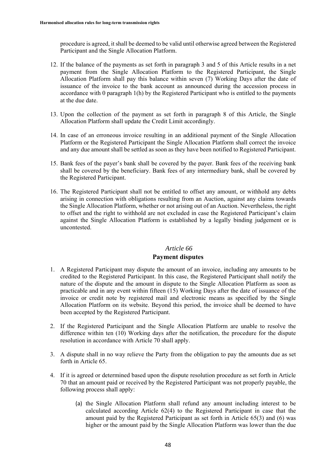procedure is agreed, it shall be deemed to be valid until otherwise agreed between the Registered Participant and the Single Allocation Platform.

- 12. If the balance of the payments as set forth in paragraph 3 and 5 of this Article results in a net payment from the Single Allocation Platform to the Registered Participant, the Single Allocation Platform shall pay this balance within seven (7) Working Days after the date of issuance of the invoice to the bank account as announced during the accession process in accordance with 0 paragraph 1(h) by the Registered Participant who is entitled to the payments at the due date.
- 13. Upon the collection of the payment as set forth in paragraph 8 of this Article, the Single Allocation Platform shall update the Credit Limit accordingly.
- 14. In case of an erroneous invoice resulting in an additional payment of the Single Allocation Platform or the Registered Participant the Single Allocation Platform shall correct the invoice and any due amount shall be settled as soon as they have been notified to Registered Participant.
- 15. Bank fees of the payer's bank shall be covered by the payer. Bank fees of the receiving bank shall be covered by the beneficiary. Bank fees of any intermediary bank, shall be covered by the Registered Participant.
- 16. The Registered Participant shall not be entitled to offset any amount, or withhold any debts arising in connection with obligations resulting from an Auction, against any claims towards the Single Allocation Platform, whether or not arising out of an Auction. Nevertheless, the right to offset and the right to withhold are not excluded in case the Registered Participant's claim against the Single Allocation Platform is established by a legally binding judgement or is uncontested.

#### *Article 66*

### **Payment disputes**

- 1. A Registered Participant may dispute the amount of an invoice, including any amounts to be credited to the Registered Participant. In this case, the Registered Participant shall notify the nature of the dispute and the amount in dispute to the Single Allocation Platform as soon as practicable and in any event within fifteen (15) Working Days after the date of issuance of the invoice or credit note by registered mail and electronic means as specified by the Single Allocation Platform on its website. Beyond this period, the invoice shall be deemed to have been accepted by the Registered Participant.
- 2. If the Registered Participant and the Single Allocation Platform are unable to resolve the difference within ten (10) Working days after the notification, the procedure for the dispute resolution in accordance with Article 70 shall apply.
- 3. A dispute shall in no way relieve the Party from the obligation to pay the amounts due as set forth in Article 65.
- 4. If it is agreed or determined based upon the dispute resolution procedure as set forth in Article 70 that an amount paid or received by the Registered Participant was not properly payable, the following process shall apply:
	- (a) the Single Allocation Platform shall refund any amount including interest to be calculated according Article 62(4) to the Registered Participant in case that the amount paid by the Registered Participant as set forth in Article 65(3) and (6) was higher or the amount paid by the Single Allocation Platform was lower than the due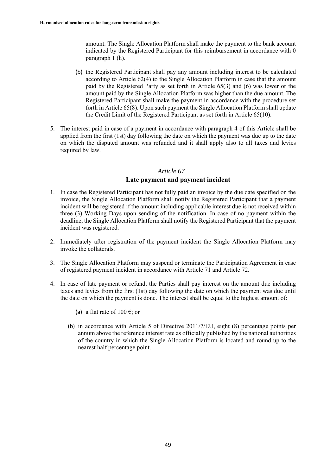amount. The Single Allocation Platform shall make the payment to the bank account indicated by the Registered Participant for this reimbursement in accordance with 0 paragraph 1 (h).

- (b) the Registered Participant shall pay any amount including interest to be calculated according to Article 62(4) to the Single Allocation Platform in case that the amount paid by the Registered Party as set forth in Article 65(3) and (6) was lower or the amount paid by the Single Allocation Platform was higher than the due amount. The Registered Participant shall make the payment in accordance with the procedure set forth in Article 65(8). Upon such payment the Single Allocation Platform shall update the Credit Limit of the Registered Participant as set forth in Article 65(10).
- 5. The interest paid in case of a payment in accordance with paragraph 4 of this Article shall be applied from the first (1st) day following the date on which the payment was due up to the date on which the disputed amount was refunded and it shall apply also to all taxes and levies required by law.

#### *Article 67*

#### **Late payment and payment incident**

- 1. In case the Registered Participant has not fully paid an invoice by the due date specified on the invoice, the Single Allocation Platform shall notify the Registered Participant that a payment incident will be registered if the amount including applicable interest due is not received within three (3) Working Days upon sending of the notification. In case of no payment within the deadline, the Single Allocation Platform shall notify the Registered Participant that the payment incident was registered.
- 2. Immediately after registration of the payment incident the Single Allocation Platform may invoke the collaterals.
- 3. The Single Allocation Platform may suspend or terminate the Participation Agreement in case of registered payment incident in accordance with Article 71 and Article 72.
- 4. In case of late payment or refund, the Parties shall pay interest on the amount due including taxes and levies from the first (1st) day following the date on which the payment was due until the date on which the payment is done. The interest shall be equal to the highest amount of:
	- (a) a flat rate of  $100 \text{ } \infty$ ; or
	- (b) in accordance with Article 5 of Directive 2011/7/EU, eight (8) percentage points per annum above the reference interest rate as officially published by the national authorities of the country in which the Single Allocation Platform is located and round up to the nearest half percentage point.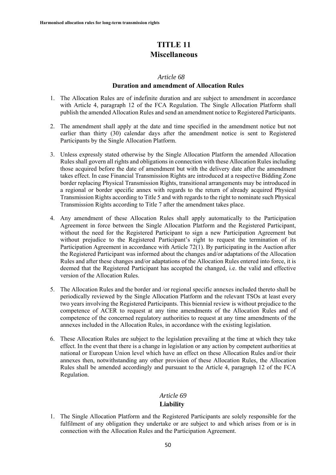# **TITLE 11 Miscellaneous**

#### *Article 68*

#### **Duration and amendment of Allocation Rules**

- 1. The Allocation Rules are of indefinite duration and are subject to amendment in accordance with Article 4, paragraph 12 of the FCA Regulation. The Single Allocation Platform shall publish the amended Allocation Rules and send an amendment notice to Registered Participants.
- 2. The amendment shall apply at the date and time specified in the amendment notice but not earlier than thirty (30) calendar days after the amendment notice is sent to Registered Participants by the Single Allocation Platform.
- 3. Unless expressly stated otherwise by the Single Allocation Platform the amended Allocation Rules shall govern all rights and obligations in connection with these Allocation Rules including those acquired before the date of amendment but with the delivery date after the amendment takes effect. In case Financial Transmission Rights are introduced at a respective Bidding Zone border replacing Physical Transmission Rights, transitional arrangements may be introduced in a regional or border specific annex with regards to the return of already acquired Physical Transmission Rights according to Title 5 and with regards to the right to nominate such Physical Transmission Rights according to Title 7 after the amendment takes place.
- 4. Any amendment of these Allocation Rules shall apply automatically to the Participation Agreement in force between the Single Allocation Platform and the Registered Participant, without the need for the Registered Participant to sign a new Participation Agreement but without prejudice to the Registered Participant's right to request the termination of its Participation Agreement in accordance with Article 72(1). By participating in the Auction after the Registered Participant was informed about the changes and/or adaptations of the Allocation Rules and after these changes and/or adaptations of the Allocation Rules entered into force, it is deemed that the Registered Participant has accepted the changed, i.e. the valid and effective version of the Allocation Rules.
- 5. The Allocation Rules and the border and /or regional specific annexes included thereto shall be periodically reviewed by the Single Allocation Platform and the relevant TSOs at least every two years involving the Registered Participants. This biennial review is without prejudice to the competence of ACER to request at any time amendments of the Allocation Rules and of competence of the concerned regulatory authorities to request at any time amendments of the annexes included in the Allocation Rules, in accordance with the existing legislation.
- 6. These Allocation Rules are subject to the legislation prevailing at the time at which they take effect. In the event that there is a change in legislation or any action by competent authorities at national or European Union level which have an effect on these Allocation Rules and/or their annexes then, notwithstanding any other provision of these Allocation Rules, the Allocation Rules shall be amended accordingly and pursuant to the Article 4, paragraph 12 of the FCA Regulation.

# *Article 69* **Liability**

1. The Single Allocation Platform and the Registered Participants are solely responsible for the fulfilment of any obligation they undertake or are subject to and which arises from or is in connection with the Allocation Rules and the Participation Agreement.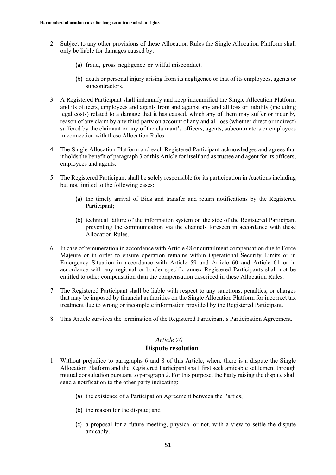- 2. Subject to any other provisions of these Allocation Rules the Single Allocation Platform shall only be liable for damages caused by:
	- (a) fraud, gross negligence or wilful misconduct.
	- (b) death or personal injury arising from its negligence or that of its employees, agents or subcontractors.
- 3. A Registered Participant shall indemnify and keep indemnified the Single Allocation Platform and its officers, employees and agents from and against any and all loss or liability (including legal costs) related to a damage that it has caused, which any of them may suffer or incur by reason of any claim by any third party on account of any and all loss (whether direct or indirect) suffered by the claimant or any of the claimant's officers, agents, subcontractors or employees in connection with these Allocation Rules.
- 4. The Single Allocation Platform and each Registered Participant acknowledges and agrees that it holds the benefit of paragraph 3 of this Article for itself and as trustee and agent for its officers, employees and agents.
- 5. The Registered Participant shall be solely responsible for its participation in Auctions including but not limited to the following cases:
	- (a) the timely arrival of Bids and transfer and return notifications by the Registered Participant;
	- (b) technical failure of the information system on the side of the Registered Participant preventing the communication via the channels foreseen in accordance with these Allocation Rules.
- 6. In case of remuneration in accordance with Article 48 or curtailment compensation due to Force Majeure or in order to ensure operation remains within Operational Security Limits or in Emergency Situation in accordance with Article 59 and Article 60 and Article 61 or in accordance with any regional or border specific annex Registered Participants shall not be entitled to other compensation than the compensation described in these Allocation Rules.
- 7. The Registered Participant shall be liable with respect to any sanctions, penalties, or charges that may be imposed by financial authorities on the Single Allocation Platform for incorrect tax treatment due to wrong or incomplete information provided by the Registered Participant.
- 8. This Article survives the termination of the Registered Participant's Participation Agreement.

# **Dispute resolution**

- 1. Without prejudice to paragraphs 6 and 8 of this Article, where there is a dispute the Single Allocation Platform and the Registered Participant shall first seek amicable settlement through mutual consultation pursuant to paragraph 2. For this purpose, the Party raising the dispute shall send a notification to the other party indicating:
	- (a) the existence of a Participation Agreement between the Parties;
	- (b) the reason for the dispute; and
	- (c) a proposal for a future meeting, physical or not, with a view to settle the dispute amicably.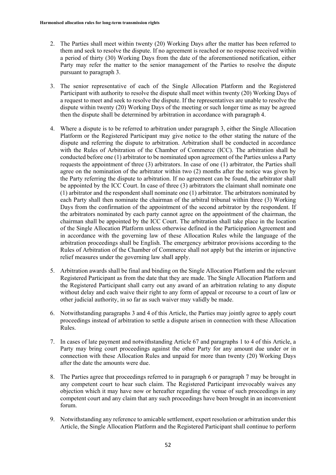- 2. The Parties shall meet within twenty (20) Working Days after the matter has been referred to them and seek to resolve the dispute. If no agreement is reached or no response received within a period of thirty (30) Working Days from the date of the aforementioned notification, either Party may refer the matter to the senior management of the Parties to resolve the dispute pursuant to paragraph 3.
- 3. The senior representative of each of the Single Allocation Platform and the Registered Participant with authority to resolve the dispute shall meet within twenty (20) Working Days of a request to meet and seek to resolve the dispute. If the representatives are unable to resolve the dispute within twenty (20) Working Days of the meeting or such longer time as may be agreed then the dispute shall be determined by arbitration in accordance with paragraph 4.
- 4. Where a dispute is to be referred to arbitration under paragraph 3, either the Single Allocation Platform or the Registered Participant may give notice to the other stating the nature of the dispute and referring the dispute to arbitration. Arbitration shall be conducted in accordance with the Rules of Arbitration of the Chamber of Commerce (ICC). The arbitration shall be conducted before one (1) arbitrator to be nominated upon agreement of the Parties unless a Party requests the appointment of three (3) arbitrators. In case of one (1) arbitrator, the Parties shall agree on the nomination of the arbitrator within two (2) months after the notice was given by the Party referring the dispute to arbitration. If no agreement can be found, the arbitrator shall be appointed by the ICC Court. In case of three (3) arbitrators the claimant shall nominate one (1) arbitrator and the respondent shall nominate one (1) arbitrator. The arbitrators nominated by each Party shall then nominate the chairman of the arbitral tribunal within three (3) Working Days from the confirmation of the appointment of the second arbitrator by the respondent. If the arbitrators nominated by each party cannot agree on the appointment of the chairman, the chairman shall be appointed by the ICC Court. The arbitration shall take place in the location of the Single Allocation Platform unless otherwise defined in the Participation Agreement and in accordance with the governing law of these Allocation Rules while the language of the arbitration proceedings shall be English. The emergency arbitrator provisions according to the Rules of Arbitration of the Chamber of Commerce shall not apply but the interim or injunctive relief measures under the governing law shall apply.
- 5. Arbitration awards shall be final and binding on the Single Allocation Platform and the relevant Registered Participant as from the date that they are made. The Single Allocation Platform and the Registered Participant shall carry out any award of an arbitration relating to any dispute without delay and each waive their right to any form of appeal or recourse to a court of law or other judicial authority, in so far as such waiver may validly be made.
- 6. Notwithstanding paragraphs 3 and 4 of this Article, the Parties may jointly agree to apply court proceedings instead of arbitration to settle a dispute arisen in connection with these Allocation Rules.
- 7. In cases of late payment and notwithstanding Article 67 and paragraphs 1 to 4 of this Article, a Party may bring court proceedings against the other Party for any amount due under or in connection with these Allocation Rules and unpaid for more than twenty (20) Working Days after the date the amounts were due.
- 8. The Parties agree that proceedings referred to in paragraph 6 or paragraph 7 may be brought in any competent court to hear such claim. The Registered Participant irrevocably waives any objection which it may have now or hereafter regarding the venue of such proceedings in any competent court and any claim that any such proceedings have been brought in an inconvenient forum.
- 9. Notwithstanding any reference to amicable settlement, expert resolution or arbitration under this Article, the Single Allocation Platform and the Registered Participant shall continue to perform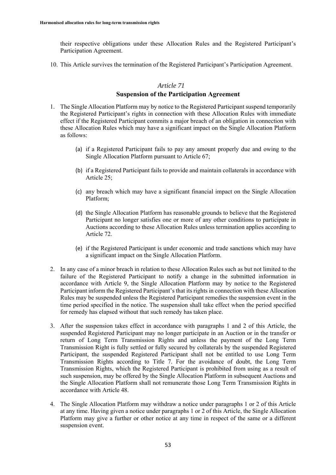their respective obligations under these Allocation Rules and the Registered Participant's Participation Agreement.

10. This Article survives the termination of the Registered Participant's Participation Agreement.

# *Article 71*

# **Suspension of the Participation Agreement**

- 1. The Single Allocation Platform may by notice to the Registered Participant suspend temporarily the Registered Participant's rights in connection with these Allocation Rules with immediate effect if the Registered Participant commits a major breach of an obligation in connection with these Allocation Rules which may have a significant impact on the Single Allocation Platform as follows:
	- (a) if a Registered Participant fails to pay any amount properly due and owing to the Single Allocation Platform pursuant to Article 67;
	- (b) if a Registered Participant fails to provide and maintain collaterals in accordance with Article 25;
	- (c) any breach which may have a significant financial impact on the Single Allocation Platform;
	- (d) the Single Allocation Platform has reasonable grounds to believe that the Registered Participant no longer satisfies one or more of any other conditions to participate in Auctions according to these Allocation Rules unless termination applies according to Article 72.
	- (e) if the Registered Participant is under economic and trade sanctions which may have a significant impact on the Single Allocation Platform.
- 2. In any case of a minor breach in relation to these Allocation Rules such as but not limited to the failure of the Registered Participant to notify a change in the submitted information in accordance with Article 9, the Single Allocation Platform may by notice to the Registered Participant inform the Registered Participant's that its rights in connection with these Allocation Rules may be suspended unless the Registered Participant remedies the suspension event in the time period specified in the notice. The suspension shall take effect when the period specified for remedy has elapsed without that such remedy has taken place.
- 3. After the suspension takes effect in accordance with paragraphs 1 and 2 of this Article, the suspended Registered Participant may no longer participate in an Auction or in the transfer or return of Long Term Transmission Rights and unless the payment of the Long Term Transmission Right is fully settled or fully secured by collaterals by the suspended Registered Participant, the suspended Registered Participant shall not be entitled to use Long Term Transmission Rights according to Title 7. For the avoidance of doubt, the Long Term Transmission Rights, which the Registered Participant is prohibited from using as a result of such suspension, may be offered by the Single Allocation Platform in subsequent Auctions and the Single Allocation Platform shall not remunerate those Long Term Transmission Rights in accordance with Article 48.
- 4. The Single Allocation Platform may withdraw a notice under paragraphs 1 or 2 of this Article at any time. Having given a notice under paragraphs 1 or 2 of this Article, the Single Allocation Platform may give a further or other notice at any time in respect of the same or a different suspension event.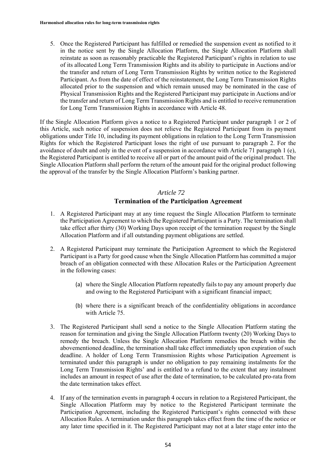5. Once the Registered Participant has fulfilled or remedied the suspension event as notified to it in the notice sent by the Single Allocation Platform, the Single Allocation Platform shall reinstate as soon as reasonably practicable the Registered Participant's rights in relation to use of its allocated Long Term Transmission Rights and its ability to participate in Auctions and/or the transfer and return of Long Term Transmission Rights by written notice to the Registered Participant. As from the date of effect of the reinstatement, the Long Term Transmission Rights allocated prior to the suspension and which remain unused may be nominated in the case of Physical Transmission Rights and the Registered Participant may participate in Auctions and/or the transfer and return of Long Term Transmission Rights and is entitled to receive remuneration for Long Term Transmission Rights in accordance with Article 48.

If the Single Allocation Platform gives a notice to a Registered Participant under paragraph 1 or 2 of this Article, such notice of suspension does not relieve the Registered Participant from its payment obligations under Title 10, including its payment obligations in relation to the Long Term Transmission Rights for which the Registered Participant loses the right of use pursuant to paragraph 2. For the avoidance of doubt and only in the event of a suspension in accordance with Article 71 paragraph 1 (e), the Registered Participant is entitled to receive all or part of the amount paid of the original product. The Single Allocation Platform shall perform the return of the amount paid for the original product following the approval of the transfer by the Single Allocation Platform's banking partner.

#### *Article 72*

### **Termination of the Participation Agreement**

- 1. A Registered Participant may at any time request the Single Allocation Platform to terminate the Participation Agreement to which the Registered Participant is a Party. The termination shall take effect after thirty (30) Working Days upon receipt of the termination request by the Single Allocation Platform and if all outstanding payment obligations are settled.
- 2. A Registered Participant may terminate the Participation Agreement to which the Registered Participant is a Party for good cause when the Single Allocation Platform has committed a major breach of an obligation connected with these Allocation Rules or the Participation Agreement in the following cases:
	- (a) where the Single Allocation Platform repeatedly fails to pay any amount properly due and owing to the Registered Participant with a significant financial impact;
	- (b) where there is a significant breach of the confidentiality obligations in accordance with Article 75.
- 3. The Registered Participant shall send a notice to the Single Allocation Platform stating the reason for termination and giving the Single Allocation Platform twenty (20) Working Days to remedy the breach. Unless the Single Allocation Platform remedies the breach within the abovementioned deadline, the termination shall take effect immediately upon expiration of such deadline. A holder of Long Term Transmission Rights whose Participation Agreement is terminated under this paragraph is under no obligation to pay remaining instalments for the Long Term Transmission Rights' and is entitled to a refund to the extent that any instalment includes an amount in respect of use after the date of termination, to be calculated pro-rata from the date termination takes effect.
- 4. If any of the termination events in paragraph 4 occurs in relation to a Registered Participant, the Single Allocation Platform may by notice to the Registered Participant terminate the Participation Agreement, including the Registered Participant's rights connected with these Allocation Rules. A termination under this paragraph takes effect from the time of the notice or any later time specified in it. The Registered Participant may not at a later stage enter into the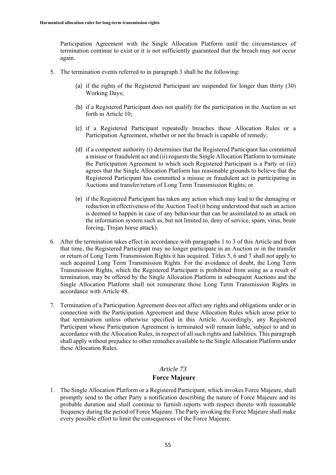Participation Agreement with the Single Allocation Platform until the circumstances of termination continue to exist or it is not sufficiently guaranteed that the breach may not occur again.

- 5. The termination events referred to in paragraph 3 shall be the following:
	- (a) if the rights of the Registered Participant are suspended for longer than thirty (30) Working Days;
	- (b) if a Registered Participant does not qualify for the participation in the Auction as set forth in Article 10;
	- (c) if a Registered Participant repeatedly breaches these Allocation Rules or a Participation Agreement, whether or not the breach is capable of remedy;
	- (d) if a competent authority (i) determines that the Registered Participant has committed a misuse or fraudulent act and (ii) requests the Single Allocation Platform to terminate the Participation Agreement to which such Registered Participant is a Party or (iii) agrees that the Single Allocation Platform has reasonable grounds to believe that the Registered Participant has committed a misuse or fraudulent act in participating in Auctions and transfer/return of Long Term Transmission Rights; or
	- (e) if the Registered Participant has taken any action which may lead to the damaging or reduction in effectiveness of the Auction Tool (it being understood that such an action is deemed to happen in case of any behaviour that can be assimilated to an attack on the information system such as, but not limited to, deny of service, spam, virus, brute forcing, Trojan horse attack).
- 6. After the termination takes effect in accordance with paragraphs 1 to 3 of this Article and from that time, the Registered Participant may no longer participate in an Auction or in the transfer or return of Long Term Transmission Rights it has acquired. Titles 5, 6 and 7 shall not apply to such acquired Long Term Transmission Rights. For the avoidance of doubt, the Long Term Transmission Rights, which the Registered Participant is prohibited from using as a result of termination, may be offered by the Single Allocation Platform in subsequent Auctions and the Single Allocation Platform shall not remunerate those Long Term Transmission Rights in accordance with Article 48.
- 7. Termination of a Participation Agreement does not affect any rights and obligations under or in connection with the Participation Agreement and these Allocation Rules which arose prior to that termination unless otherwise specified in this Article. Accordingly, any Registered Participant whose Participation Agreement is terminated will remain liable, subject to and in accordance with the Allocation Rules, in respect of all such rights and liabilities. This paragraph shall apply without prejudice to other remedies available to the Single Allocation Platform under these Allocation Rules.

# *Article 73* **Force Majeure**

1. The Single Allocation Platform or a Registered Participant, which invokes Force Majeure, shall promptly send to the other Party a notification describing the nature of Force Majeure and its probable duration and shall continue to furnish reports with respect thereto with reasonable frequency during the period of Force Majeure. The Party invoking the Force Majeure shall make every possible effort to limit the consequences of the Force Majeure.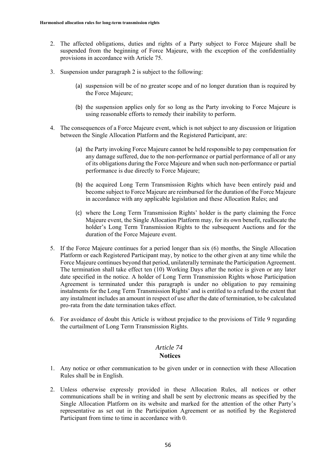- 2. The affected obligations, duties and rights of a Party subject to Force Majeure shall be suspended from the beginning of Force Majeure, with the exception of the confidentiality provisions in accordance with Article 75.
- 3. Suspension under paragraph 2 is subject to the following:
	- (a) suspension will be of no greater scope and of no longer duration than is required by the Force Majeure;
	- (b) the suspension applies only for so long as the Party invoking to Force Majeure is using reasonable efforts to remedy their inability to perform.
- 4. The consequences of a Force Majeure event, which is not subject to any discussion or litigation between the Single Allocation Platform and the Registered Participant, are:
	- (a) the Party invoking Force Majeure cannot be held responsible to pay compensation for any damage suffered, due to the non-performance or partial performance of all or any of its obligations during the Force Majeure and when such non-performance or partial performance is due directly to Force Majeure;
	- (b) the acquired Long Term Transmission Rights which have been entirely paid and become subject to Force Majeure are reimbursed for the duration of the Force Majeure in accordance with any applicable legislation and these Allocation Rules; and
	- (c) where the Long Term Transmission Rights' holder is the party claiming the Force Majeure event, the Single Allocation Platform may, for its own benefit, reallocate the holder's Long Term Transmission Rights to the subsequent Auctions and for the duration of the Force Majeure event.
- 5. If the Force Majeure continues for a period longer than six (6) months, the Single Allocation Platform or each Registered Participant may, by notice to the other given at any time while the Force Majeure continues beyond that period, unilaterally terminate the Participation Agreement. The termination shall take effect ten (10) Working Days after the notice is given or any later date specified in the notice. A holder of Long Term Transmission Rights whose Participation Agreement is terminated under this paragraph is under no obligation to pay remaining instalments for the Long Term Transmission Rights' and is entitled to a refund to the extent that any instalment includes an amount in respect of use after the date of termination, to be calculated pro-rata from the date termination takes effect.
- 6. For avoidance of doubt this Article is without prejudice to the provisions of Title 9 regarding the curtailment of Long Term Transmission Rights.

#### **Notices**

- 1. Any notice or other communication to be given under or in connection with these Allocation Rules shall be in English.
- 2. Unless otherwise expressly provided in these Allocation Rules, all notices or other communications shall be in writing and shall be sent by electronic means as specified by the Single Allocation Platform on its website and marked for the attention of the other Party's representative as set out in the Participation Agreement or as notified by the Registered Participant from time to time in accordance with 0.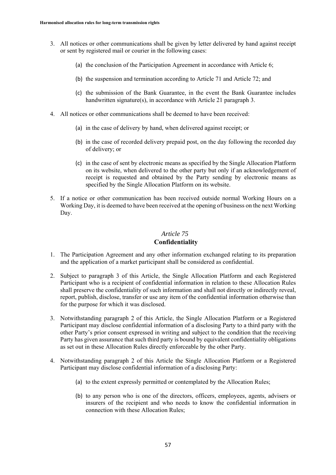- 3. All notices or other communications shall be given by letter delivered by hand against receipt or sent by registered mail or courier in the following cases:
	- (a) the conclusion of the Participation Agreement in accordance with Article 6;
	- (b) the suspension and termination according to Article 71 and Article 72; and
	- (c) the submission of the Bank Guarantee, in the event the Bank Guarantee includes handwritten signature(s), in accordance with Article 21 paragraph 3.
- 4. All notices or other communications shall be deemed to have been received:
	- (a) in the case of delivery by hand, when delivered against receipt; or
	- (b) in the case of recorded delivery prepaid post, on the day following the recorded day of delivery; or
	- (c) in the case of sent by electronic means as specified by the Single Allocation Platform on its website, when delivered to the other party but only if an acknowledgement of receipt is requested and obtained by the Party sending by electronic means as specified by the Single Allocation Platform on its website.
- 5. If a notice or other communication has been received outside normal Working Hours on a Working Day, it is deemed to have been received at the opening of business on the next Working Day.

# **Confidentiality**

- 1. The Participation Agreement and any other information exchanged relating to its preparation and the application of a market participant shall be considered as confidential.
- 2. Subject to paragraph 3 of this Article, the Single Allocation Platform and each Registered Participant who is a recipient of confidential information in relation to these Allocation Rules shall preserve the confidentiality of such information and shall not directly or indirectly reveal, report, publish, disclose, transfer or use any item of the confidential information otherwise than for the purpose for which it was disclosed.
- 3. Notwithstanding paragraph 2 of this Article, the Single Allocation Platform or a Registered Participant may disclose confidential information of a disclosing Party to a third party with the other Party's prior consent expressed in writing and subject to the condition that the receiving Party has given assurance that such third party is bound by equivalent confidentiality obligations as set out in these Allocation Rules directly enforceable by the other Party.
- 4. Notwithstanding paragraph 2 of this Article the Single Allocation Platform or a Registered Participant may disclose confidential information of a disclosing Party:
	- (a) to the extent expressly permitted or contemplated by the Allocation Rules;
	- (b) to any person who is one of the directors, officers, employees, agents, advisers or insurers of the recipient and who needs to know the confidential information in connection with these Allocation Rules;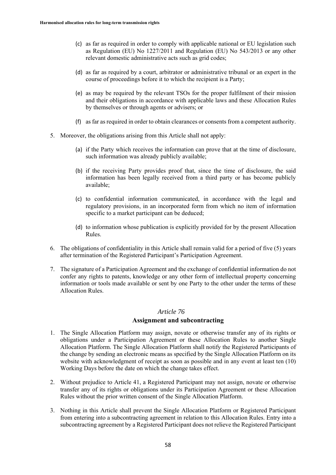- (c) as far as required in order to comply with applicable national or EU legislation such as Regulation (EU) No 1227/2011 and Regulation (EU) No 543/2013 or any other relevant domestic administrative acts such as grid codes;
- (d) as far as required by a court, arbitrator or administrative tribunal or an expert in the course of proceedings before it to which the recipient is a Party;
- (e) as may be required by the relevant TSOs for the proper fulfilment of their mission and their obligations in accordance with applicable laws and these Allocation Rules by themselves or through agents or advisers; or
- (f) as far as required in order to obtain clearances or consents from a competent authority.
- 5. Moreover, the obligations arising from this Article shall not apply:
	- (a) if the Party which receives the information can prove that at the time of disclosure, such information was already publicly available;
	- (b) if the receiving Party provides proof that, since the time of disclosure, the said information has been legally received from a third party or has become publicly available;
	- (c) to confidential information communicated, in accordance with the legal and regulatory provisions, in an incorporated form from which no item of information specific to a market participant can be deduced;
	- (d) to information whose publication is explicitly provided for by the present Allocation Rules.
- 6. The obligations of confidentiality in this Article shall remain valid for a period of five (5) years after termination of the Registered Participant's Participation Agreement.
- 7. The signature of a Participation Agreement and the exchange of confidential information do not confer any rights to patents, knowledge or any other form of intellectual property concerning information or tools made available or sent by one Party to the other under the terms of these Allocation Rules.

#### **Assignment and subcontracting**

- 1. The Single Allocation Platform may assign, novate or otherwise transfer any of its rights or obligations under a Participation Agreement or these Allocation Rules to another Single Allocation Platform. The Single Allocation Platform shall notify the Registered Participants of the change by sending an electronic means as specified by the Single Allocation Platform on its website with acknowledgment of receipt as soon as possible and in any event at least ten (10) Working Days before the date on which the change takes effect.
- 2. Without prejudice to Article 41, a Registered Participant may not assign, novate or otherwise transfer any of its rights or obligations under its Participation Agreement or these Allocation Rules without the prior written consent of the Single Allocation Platform.
- 3. Nothing in this Article shall prevent the Single Allocation Platform or Registered Participant from entering into a subcontracting agreement in relation to this Allocation Rules. Entry into a subcontracting agreement by a Registered Participant does not relieve the Registered Participant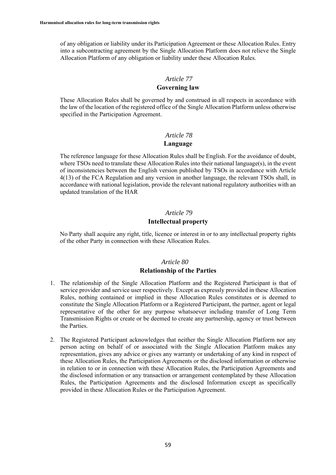of any obligation or liability under its Participation Agreement or these Allocation Rules. Entry into a subcontracting agreement by the Single Allocation Platform does not relieve the Single Allocation Platform of any obligation or liability under these Allocation Rules.

### *Article 77*

### **Governing law**

These Allocation Rules shall be governed by and construed in all respects in accordance with the law of the location of the registered office of the Single Allocation Platform unless otherwise specified in the Participation Agreement.

#### *Article 78*

#### **Language**

The reference language for these Allocation Rules shall be English. For the avoidance of doubt, where TSOs need to translate these Allocation Rules into their national language(s), in the event of inconsistencies between the English version published by TSOs in accordance with Article 4(13) of the FCA Regulation and any version in another language, the relevant TSOs shall, in accordance with national legislation, provide the relevant national regulatory authorities with an updated translation of the HAR

# *Article 79* **Intellectual property**

No Party shall acquire any right, title, licence or interest in or to any intellectual property rights of the other Party in connection with these Allocation Rules.

# *Article 80*

# **Relationship of the Parties**

- 1. The relationship of the Single Allocation Platform and the Registered Participant is that of service provider and service user respectively. Except as expressly provided in these Allocation Rules, nothing contained or implied in these Allocation Rules constitutes or is deemed to constitute the Single Allocation Platform or a Registered Participant, the partner, agent or legal representative of the other for any purpose whatsoever including transfer of Long Term Transmission Rights or create or be deemed to create any partnership, agency or trust between the Parties.
- 2. The Registered Participant acknowledges that neither the Single Allocation Platform nor any person acting on behalf of or associated with the Single Allocation Platform makes any representation, gives any advice or gives any warranty or undertaking of any kind in respect of these Allocation Rules, the Participation Agreements or the disclosed information or otherwise in relation to or in connection with these Allocation Rules, the Participation Agreements and the disclosed information or any transaction or arrangement contemplated by these Allocation Rules, the Participation Agreements and the disclosed Information except as specifically provided in these Allocation Rules or the Participation Agreement.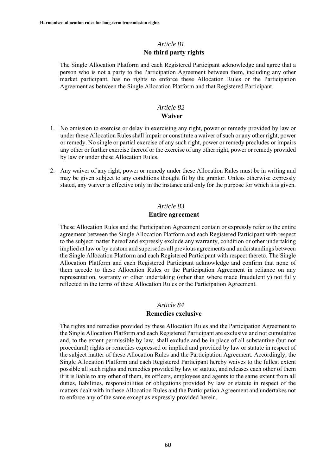# *Article 81* **No third party rights**

The Single Allocation Platform and each Registered Participant acknowledge and agree that a person who is not a party to the Participation Agreement between them, including any other market participant, has no rights to enforce these Allocation Rules or the Participation Agreement as between the Single Allocation Platform and that Registered Participant.

#### *Article 82* **Waiver**

- 1. No omission to exercise or delay in exercising any right, power or remedy provided by law or under these Allocation Rules shall impair or constitute a waiver of such or any other right, power or remedy. No single or partial exercise of any such right, power or remedy precludes or impairs any other or further exercise thereof or the exercise of any other right, power or remedy provided by law or under these Allocation Rules.
- 2. Any waiver of any right, power or remedy under these Allocation Rules must be in writing and may be given subject to any conditions thought fit by the grantor. Unless otherwise expressly stated, any waiver is effective only in the instance and only for the purpose for which it is given.

#### *Article 83*

#### **Entire agreement**

These Allocation Rules and the Participation Agreement contain or expressly refer to the entire agreement between the Single Allocation Platform and each Registered Participant with respect to the subject matter hereof and expressly exclude any warranty, condition or other undertaking implied at law or by custom and supersedes all previous agreements and understandings between the Single Allocation Platform and each Registered Participant with respect thereto. The Single Allocation Platform and each Registered Participant acknowledge and confirm that none of them accede to these Allocation Rules or the Participation Agreement in reliance on any representation, warranty or other undertaking (other than where made fraudulently) not fully reflected in the terms of these Allocation Rules or the Participation Agreement.

#### *Article 84*

#### **Remedies exclusive**

The rights and remedies provided by these Allocation Rules and the Participation Agreement to the Single Allocation Platform and each Registered Participant are exclusive and not cumulative and, to the extent permissible by law, shall exclude and be in place of all substantive (but not procedural) rights or remedies expressed or implied and provided by law or statute in respect of the subject matter of these Allocation Rules and the Participation Agreement. Accordingly, the Single Allocation Platform and each Registered Participant hereby waives to the fullest extent possible all such rights and remedies provided by law or statute, and releases each other of them if it is liable to any other of them, its officers, employees and agents to the same extent from all duties, liabilities, responsibilities or obligations provided by law or statute in respect of the matters dealt with in these Allocation Rules and the Participation Agreement and undertakes not to enforce any of the same except as expressly provided herein.